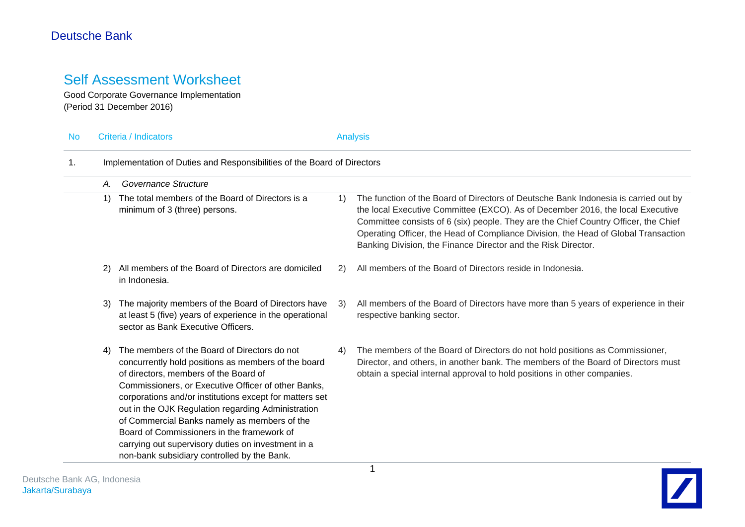# Self Assessment Worksheet

Good Corporate Governance Implementation (Period 31 December 2016)

| <b>No</b> | Criteria / Indicators                                                   |                                                                                                                                                                                                                                                                                                                                                                                                                                                                                                                         |    | <b>Analysis</b>                                                                                                                                                                                                                                                                                                                                                                                                     |  |  |  |  |
|-----------|-------------------------------------------------------------------------|-------------------------------------------------------------------------------------------------------------------------------------------------------------------------------------------------------------------------------------------------------------------------------------------------------------------------------------------------------------------------------------------------------------------------------------------------------------------------------------------------------------------------|----|---------------------------------------------------------------------------------------------------------------------------------------------------------------------------------------------------------------------------------------------------------------------------------------------------------------------------------------------------------------------------------------------------------------------|--|--|--|--|
| 1.        | Implementation of Duties and Responsibilities of the Board of Directors |                                                                                                                                                                                                                                                                                                                                                                                                                                                                                                                         |    |                                                                                                                                                                                                                                                                                                                                                                                                                     |  |  |  |  |
|           | Α.                                                                      | Governance Structure                                                                                                                                                                                                                                                                                                                                                                                                                                                                                                    |    |                                                                                                                                                                                                                                                                                                                                                                                                                     |  |  |  |  |
|           | 1)                                                                      | The total members of the Board of Directors is a<br>minimum of 3 (three) persons.                                                                                                                                                                                                                                                                                                                                                                                                                                       | 1) | The function of the Board of Directors of Deutsche Bank Indonesia is carried out by<br>the local Executive Committee (EXCO). As of December 2016, the local Executive<br>Committee consists of 6 (six) people. They are the Chief Country Officer, the Chief<br>Operating Officer, the Head of Compliance Division, the Head of Global Transaction<br>Banking Division, the Finance Director and the Risk Director. |  |  |  |  |
|           | 2)                                                                      | All members of the Board of Directors are domiciled<br>in Indonesia.                                                                                                                                                                                                                                                                                                                                                                                                                                                    | 2) | All members of the Board of Directors reside in Indonesia.                                                                                                                                                                                                                                                                                                                                                          |  |  |  |  |
|           | 3)                                                                      | The majority members of the Board of Directors have<br>at least 5 (five) years of experience in the operational<br>sector as Bank Executive Officers.                                                                                                                                                                                                                                                                                                                                                                   | 3) | All members of the Board of Directors have more than 5 years of experience in their<br>respective banking sector.                                                                                                                                                                                                                                                                                                   |  |  |  |  |
|           | 4)                                                                      | The members of the Board of Directors do not<br>concurrently hold positions as members of the board<br>of directors, members of the Board of<br>Commissioners, or Executive Officer of other Banks,<br>corporations and/or institutions except for matters set<br>out in the OJK Regulation regarding Administration<br>of Commercial Banks namely as members of the<br>Board of Commissioners in the framework of<br>carrying out supervisory duties on investment in a<br>non-bank subsidiary controlled by the Bank. | 4) | The members of the Board of Directors do not hold positions as Commissioner,<br>Director, and others, in another bank. The members of the Board of Directors must<br>obtain a special internal approval to hold positions in other companies.                                                                                                                                                                       |  |  |  |  |

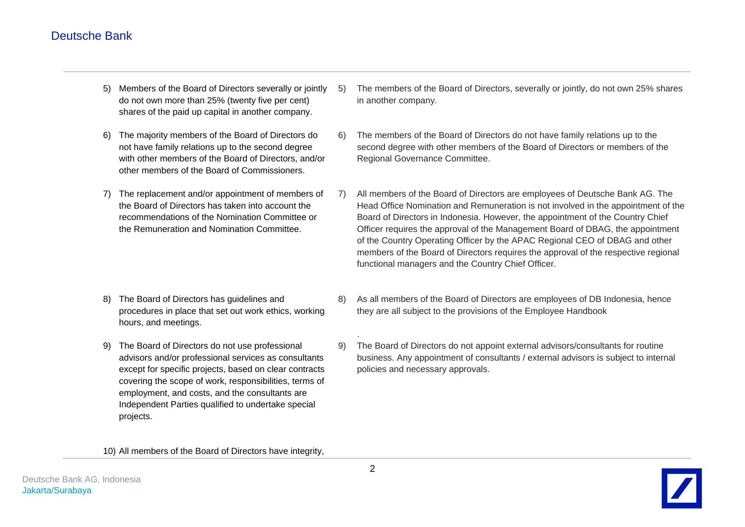- 5) Members of the Board of Directors severally or jointly do not own more than 25% (twenty five per cent) shares of the paid up capital in another company.
- 6) The majority members of the Board of Directors do not have family relations up to the second degree with other members of the Board of Directors, and/or other members of the Board of Commissioners.
- 7) The replacement and/or appointment of members of the Board of Directors has taken into account the recommendations of the Nomination Committee or the Remuneration and Nomination Committee.
- 5) The members of the Board of Directors, severally or jointly, do not own 25% shares in another company.
- 6) The members of the Board of Directors do not have family relations up to the second degree with other members of the Board of Directors or members of the Regional Governance Committee.
- 7) All members of the Board of Directors are employees of Deutsche Bank AG. The Head Office Nomination and Remuneration is not involved in the appointment of the Board of Directors in Indonesia. However, the appointment of the Country Chief Officer requires the approval of the Management Board of DBAG, the appointment of the Country Operating Officer by the APAC Regional CEO of DBAG and other members of the Board of Directors requires the approval of the respective regional functional managers and the Country Chief Officer.
- 8) The Board of Directors has guidelines and procedures in place that set out work ethics, working hours, and meetings.
- 9) The Board of Directors do not use professional advisors and/or professional services as consultants except for specific projects, based on clear contracts covering the scope of work, responsibilities, terms of employment, and costs, and the consultants are Independent Parties qualified to undertake special projects.
- 8) As all members of the Board of Directors are employees of DB Indonesia, hence they are all subject to the provisions of the Employee Handbook
- 9) The Board of Directors do not appoint external advisors/consultants for routine business. Any appointment of consultants / external advisors is subject to internal policies and necessary approvals.

10) All members of the Board of Directors have integrity,



.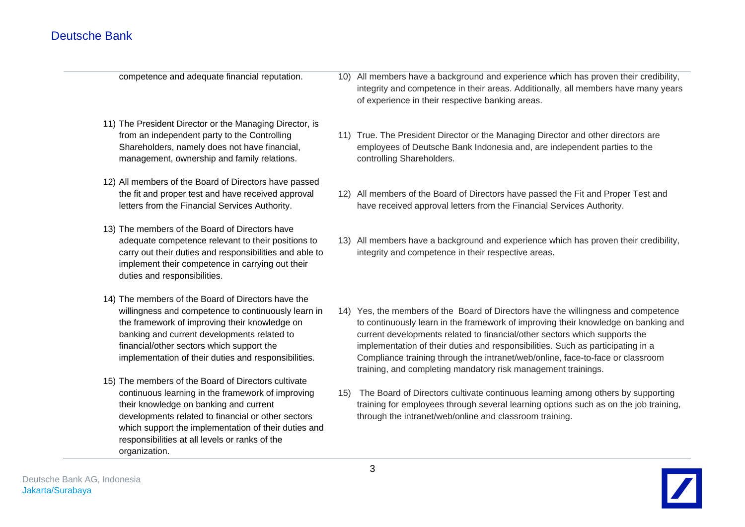competence and adequate financial reputation.

- 11) The President Director or the Managing Director, is from an independent party to the Controlling Shareholders, namely does not have financial, management, ownership and family relations.
- 12) All members of the Board of Directors have passed the fit and proper test and have received approval letters from the Financial Services Authority.
- 13) The members of the Board of Directors have adequate competence relevant to their positions to carry out their duties and responsibilities and able to implement their competence in carrying out their duties and responsibilities.
- 14) The members of the Board of Directors have the willingness and competence to continuously learn in the framework of improving their knowledge on banking and current developments related to financial/other sectors which support the implementation of their duties and responsibilities.
- 15) The members of the Board of Directors cultivate continuous learning in the framework of improving their knowledge on banking and current developments related to financial or other sectors which support the implementation of their duties and responsibilities at all levels or ranks of the organization.

10) All members have a background and experience which has proven their credibility, integrity and competence in their areas. Additionally, all members have many years of experience in their respective banking areas.

- 11) True. The President Director or the Managing Director and other directors are employees of Deutsche Bank Indonesia and, are independent parties to the controlling Shareholders.
- 12) All members of the Board of Directors have passed the Fit and Proper Test and have received approval letters from the Financial Services Authority.
- 13) All members have a background and experience which has proven their credibility, integrity and competence in their respective areas.
- 14) Yes, the members of the Board of Directors have the willingness and competence to continuously learn in the framework of improving their knowledge on banking and current developments related to financial/other sectors which supports the implementation of their duties and responsibilities. Such as participating in a Compliance training through the intranet/web/online, face-to-face or classroom training, and completing mandatory risk management trainings.
- 15) The Board of Directors cultivate continuous learning among others by supporting training for employees through several learning options such as on the job training, through the intranet/web/online and classroom training.

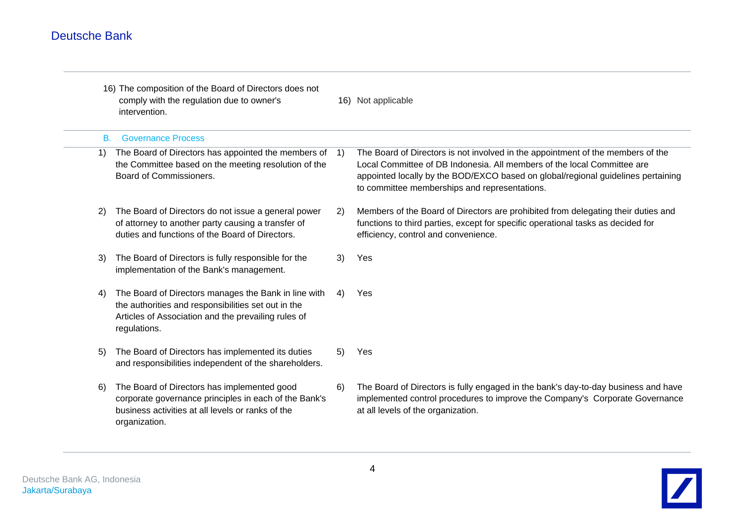|           | 16) The composition of the Board of Directors does not<br>comply with the regulation due to owner's<br>intervention.                                                               |     | 16) Not applicable                                                                                                                                                                                                                                                                              |
|-----------|------------------------------------------------------------------------------------------------------------------------------------------------------------------------------------|-----|-------------------------------------------------------------------------------------------------------------------------------------------------------------------------------------------------------------------------------------------------------------------------------------------------|
| <b>B.</b> | <b>Governance Process</b>                                                                                                                                                          |     |                                                                                                                                                                                                                                                                                                 |
| 1)        | The Board of Directors has appointed the members of<br>the Committee based on the meeting resolution of the<br>Board of Commissioners.                                             | -1) | The Board of Directors is not involved in the appointment of the members of the<br>Local Committee of DB Indonesia. All members of the local Committee are<br>appointed locally by the BOD/EXCO based on global/regional guidelines pertaining<br>to committee memberships and representations. |
| 2)        | The Board of Directors do not issue a general power<br>of attorney to another party causing a transfer of<br>duties and functions of the Board of Directors.                       | 2)  | Members of the Board of Directors are prohibited from delegating their duties and<br>functions to third parties, except for specific operational tasks as decided for<br>efficiency, control and convenience.                                                                                   |
| 3)        | The Board of Directors is fully responsible for the<br>implementation of the Bank's management.                                                                                    | 3)  | Yes                                                                                                                                                                                                                                                                                             |
| 4)        | The Board of Directors manages the Bank in line with<br>the authorities and responsibilities set out in the<br>Articles of Association and the prevailing rules of<br>regulations. | 4)  | Yes                                                                                                                                                                                                                                                                                             |
| 5)        | The Board of Directors has implemented its duties<br>and responsibilities independent of the shareholders.                                                                         | 5)  | Yes                                                                                                                                                                                                                                                                                             |
| 6)        | The Board of Directors has implemented good<br>corporate governance principles in each of the Bank's<br>business activities at all levels or ranks of the<br>organization.         | 6)  | The Board of Directors is fully engaged in the bank's day-to-day business and have<br>implemented control procedures to improve the Company's Corporate Governance<br>at all levels of the organization.                                                                                        |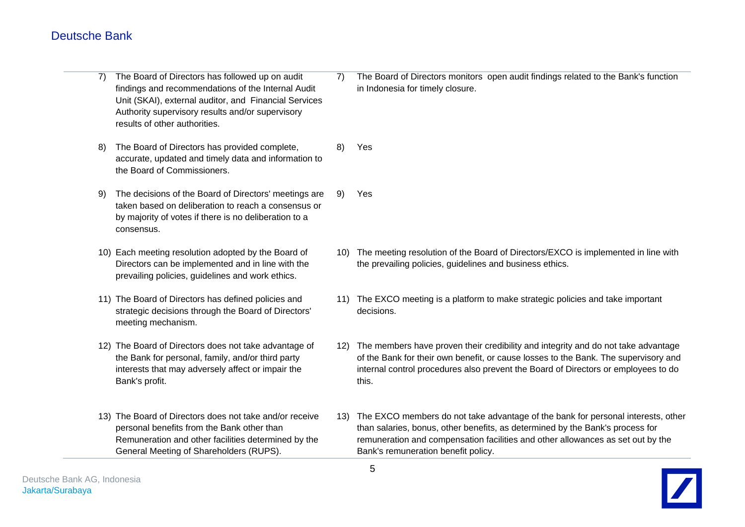7) The Board of Directors has followed up on audit findings and recommendations of the Internal Audit Unit (SKAI), external auditor, and Financial Services Authority supervisory results and/or supervisory results of other authorities. 8) The Board of Directors has provided complete, accurate, updated and timely data and information to the Board of Commissioners. 9) The decisions of the Board of Directors' meetings are taken based on deliberation to reach a consensus or by majority of votes if there is no deliberation to a consensus. 10) Each meeting resolution adopted by the Board of Directors can be implemented and in line with the prevailing policies, guidelines and work ethics. 11) The Board of Directors has defined policies and strategic decisions through the Board of Directors' meeting mechanism. 12) The Board of Directors does not take advantage of the Bank for personal, family, and/or third party interests that may adversely affect or impair the Bank's profit. 13) The Board of Directors does not take and/or receive personal benefits from the Bank other than Remuneration and other facilities determined by the General Meeting of Shareholders (RUPS). 7) The Board of Directors monitors open audit findings related to the Bank's function in Indonesia for timely closure. 8) Yes 9) Yes 10) The meeting resolution of the Board of Directors/EXCO is implemented in line with the prevailing policies, guidelines and business ethics. 11) The EXCO meeting is a platform to make strategic policies and take important decisions. 12) The members have proven their credibility and integrity and do not take advantage of the Bank for their own benefit, or cause losses to the Bank. The supervisory and internal control procedures also prevent the Board of Directors or employees to do this. 13) The EXCO members do not take advantage of the bank for personal interests, other than salaries, bonus, other benefits, as determined by the Bank's process for remuneration and compensation facilities and other allowances as set out by the Bank's remuneration benefit policy.

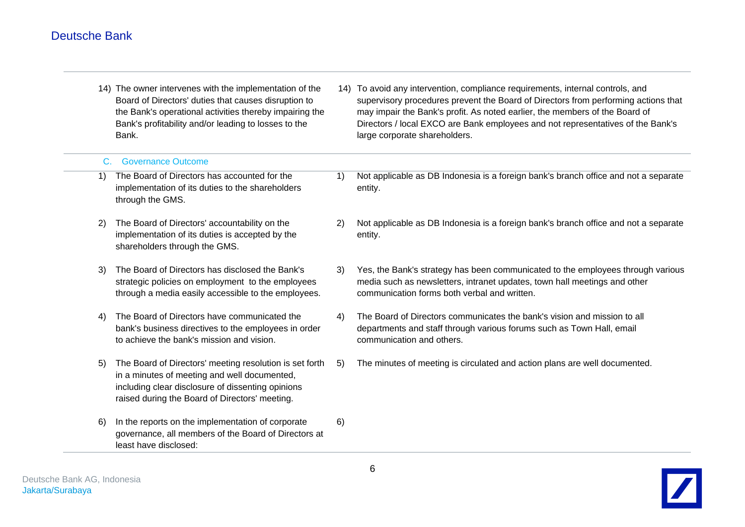14) The owner intervenes with the implementation of the Board of Directors' duties that causes disruption to the Bank's operational activities thereby impairing the Bank's profitability and/or leading to losses to the Bank. 14) To avoid any intervention, compliance requirements, internal controls, and supervisory procedures prevent the Board of Directors from performing actions that may impair the Bank's profit. As noted earlier, the members of the Board of Directors / local EXCO are Bank employees and not representatives of the Bank's large corporate shareholders.

| C. | <b>Governance Outcome</b>                                                                                                                                                                                      |    |                                                                                                                                                                                                              |
|----|----------------------------------------------------------------------------------------------------------------------------------------------------------------------------------------------------------------|----|--------------------------------------------------------------------------------------------------------------------------------------------------------------------------------------------------------------|
| 1) | The Board of Directors has accounted for the<br>implementation of its duties to the shareholders<br>through the GMS.                                                                                           | 1) | Not applicable as DB Indonesia is a foreign bank's branch office and not a separate<br>entity.                                                                                                               |
| 2) | The Board of Directors' accountability on the<br>implementation of its duties is accepted by the<br>shareholders through the GMS.                                                                              | 2) | Not applicable as DB Indonesia is a foreign bank's branch office and not a separate<br>entity.                                                                                                               |
| 3) | The Board of Directors has disclosed the Bank's<br>strategic policies on employment to the employees<br>through a media easily accessible to the employees.                                                    | 3) | Yes, the Bank's strategy has been communicated to the employees through various<br>media such as newsletters, intranet updates, town hall meetings and other<br>communication forms both verbal and written. |
| 4) | The Board of Directors have communicated the<br>bank's business directives to the employees in order<br>to achieve the bank's mission and vision.                                                              | 4) | The Board of Directors communicates the bank's vision and mission to all<br>departments and staff through various forums such as Town Hall, email<br>communication and others.                               |
| 5) | The Board of Directors' meeting resolution is set forth<br>in a minutes of meeting and well documented,<br>including clear disclosure of dissenting opinions<br>raised during the Board of Directors' meeting. | 5) | The minutes of meeting is circulated and action plans are well documented.                                                                                                                                   |
| 6) | In the reports on the implementation of corporate<br>governance, all members of the Board of Directors at<br>least have disclosed:                                                                             | 6) |                                                                                                                                                                                                              |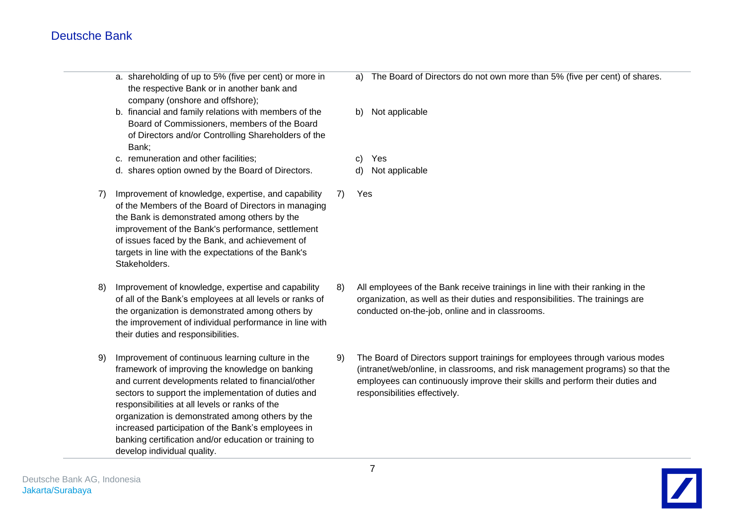a. shareholding of up to 5% (five per cent) or more in the respective Bank or in another bank and company (onshore and offshore); b. financial and family relations with members of the Board of Commissioners, members of the Board of Directors and/or Controlling Shareholders of the Bank; c. remuneration and other facilities; d. shares option owned by the Board of Directors. 7) Improvement of knowledge, expertise, and capability of the Members of the Board of Directors in managing the Bank is demonstrated among others by the improvement of the Bank's performance, settlement of issues faced by the Bank, and achievement of targets in line with the expectations of the Bank's Stakeholders. 8) Improvement of knowledge, expertise and capability of all of the Bank's employees at all levels or ranks of the organization is demonstrated among others by the improvement of individual performance in line with their duties and responsibilities. 9) Improvement of continuous learning culture in the framework of improving the knowledge on banking and current developments related to financial/other sectors to support the implementation of duties and responsibilities at all levels or ranks of the organization is demonstrated among others by the increased participation of the Bank's employees in banking certification and/or education or training to a) The Board of Directors do not own more than 5% (five per cent) of shares. b) Not applicable c) Yes d) Not applicable 7) Yes 8) All employees of the Bank receive trainings in line with their ranking in the organization, as well as their duties and responsibilities. The trainings are conducted on-the-job, online and in classrooms. 9) The Board of Directors support trainings for employees through various modes (intranet/web/online, in classrooms, and risk management programs) so that the employees can continuously improve their skills and perform their duties and responsibilities effectively.

develop individual quality.

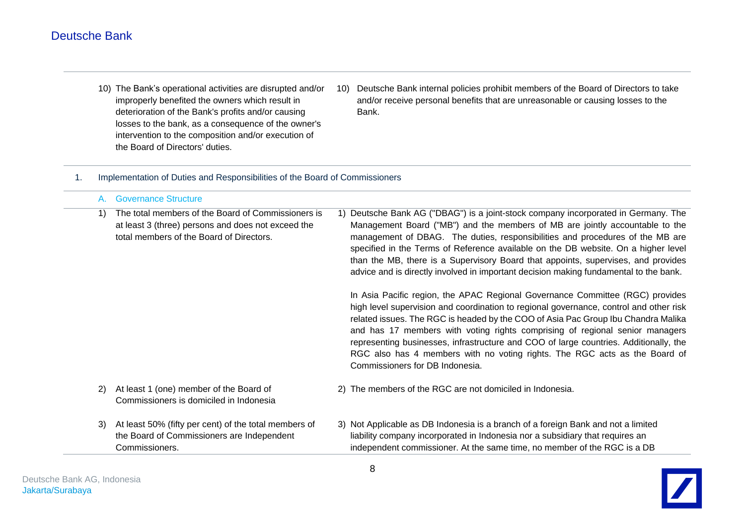- 10) The Bank's operational activities are disrupted and/or improperly benefited the owners which result in deterioration of the Bank's profits and/or causing losses to the bank, as a consequence of the owner's intervention to the composition and/or execution of the Board of Directors' duties.
- 10) Deutsche Bank internal policies prohibit members of the Board of Directors to take and/or receive personal benefits that are unreasonable or causing losses to the Bank.

#### 1. Implementation of Duties and Responsibilities of the Board of Commissioners

| A.  | <b>Governance Structure</b>                                                                                                                          |  |                                                                                                                                                                                                                                                                                                                                                                                                                                                                                                                                                        |
|-----|------------------------------------------------------------------------------------------------------------------------------------------------------|--|--------------------------------------------------------------------------------------------------------------------------------------------------------------------------------------------------------------------------------------------------------------------------------------------------------------------------------------------------------------------------------------------------------------------------------------------------------------------------------------------------------------------------------------------------------|
| 1)  | The total members of the Board of Commissioners is<br>at least 3 (three) persons and does not exceed the<br>total members of the Board of Directors. |  | 1) Deutsche Bank AG ("DBAG") is a joint-stock company incorporated in Germany. The<br>Management Board ("MB") and the members of MB are jointly accountable to the<br>management of DBAG. The duties, responsibilities and procedures of the MB are<br>specified in the Terms of Reference available on the DB website. On a higher level<br>than the MB, there is a Supervisory Board that appoints, supervises, and provides<br>advice and is directly involved in important decision making fundamental to the bank.                                |
|     |                                                                                                                                                      |  | In Asia Pacific region, the APAC Regional Governance Committee (RGC) provides<br>high level supervision and coordination to regional governance, control and other risk<br>related issues. The RGC is headed by the COO of Asia Pac Group Ibu Chandra Malika<br>and has 17 members with voting rights comprising of regional senior managers<br>representing businesses, infrastructure and COO of large countries. Additionally, the<br>RGC also has 4 members with no voting rights. The RGC acts as the Board of<br>Commissioners for DB Indonesia. |
| (2) | At least 1 (one) member of the Board of<br>Commissioners is domiciled in Indonesia                                                                   |  | 2) The members of the RGC are not domiciled in Indonesia.                                                                                                                                                                                                                                                                                                                                                                                                                                                                                              |
| 3)  | At least 50% (fifty per cent) of the total members of<br>the Board of Commissioners are Independent<br>Commissioners.                                |  | 3) Not Applicable as DB Indonesia is a branch of a foreign Bank and not a limited<br>liability company incorporated in Indonesia nor a subsidiary that requires an<br>independent commissioner. At the same time, no member of the RGC is a DB                                                                                                                                                                                                                                                                                                         |

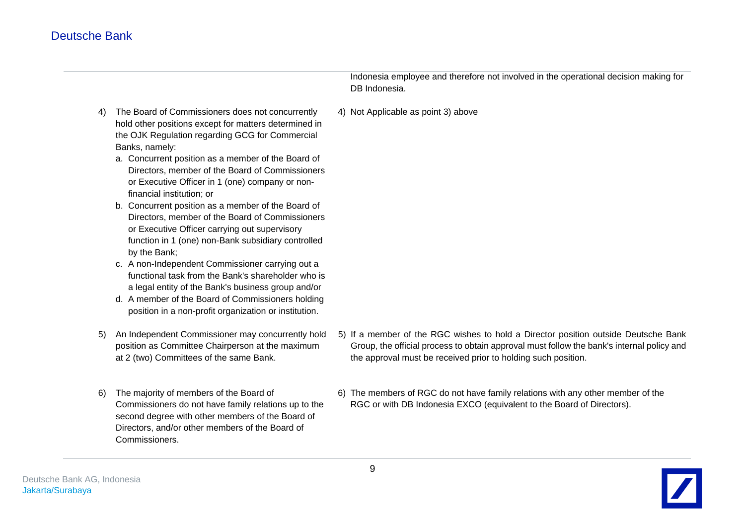Indonesia employee and therefore not involved in the operational decision making for DB Indonesia.

- 4) Not Applicable as point 3) above
- 4) The Board of Commissioners does not concurrently hold other positions except for matters determined in the OJK Regulation regarding GCG for Commercial Banks, namely:
	- a. Concurrent position as a member of the Board of Directors, member of the Board of Commissioners or Executive Officer in 1 (one) company or nonfinancial institution; or
	- b. Concurrent position as a member of the Board of Directors, member of the Board of Commissioners or Executive Officer carrying out supervisory function in 1 (one) non-Bank subsidiary controlled by the Bank;
	- c. A non-Independent Commissioner carrying out a functional task from the Bank's shareholder who is a legal entity of the Bank's business group and/or
	- d. A member of the Board of Commissioners holding position in a non-profit organization or institution.
- 5) An Independent Commissioner may concurrently hold position as Committee Chairperson at the maximum at 2 (two) Committees of the same Bank.
- 6) The majority of members of the Board of Commissioners do not have family relations up to the second degree with other members of the Board of Directors, and/or other members of the Board of Commissioners.
- 5) If a member of the RGC wishes to hold a Director position outside Deutsche Bank Group, the official process to obtain approval must follow the bank's internal policy and the approval must be received prior to holding such position.
- 6) The members of RGC do not have family relations with any other member of the RGC or with DB Indonesia EXCO (equivalent to the Board of Directors).

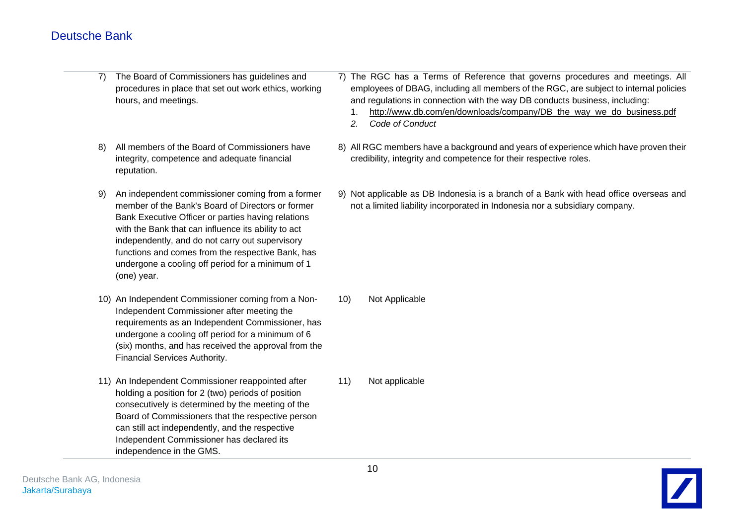- 7) The Board of Commissioners has guidelines and procedures in place that set out work ethics, working hours, and meetings.
- 8) All members of the Board of Commissioners have integrity, competence and adequate financial reputation.
- 9) An independent commissioner coming from a former member of the Bank's Board of Directors or former Bank Executive Officer or parties having relations with the Bank that can influence its ability to act independently, and do not carry out supervisory functions and comes from the respective Bank, has undergone a cooling off period for a minimum of 1 (one) year.
- 10) An Independent Commissioner coming from a Non-Independent Commissioner after meeting the requirements as an Independent Commissioner, has undergone a cooling off period for a minimum of 6 (six) months, and has received the approval from the Financial Services Authority.
- 11) An Independent Commissioner reappointed after holding a position for 2 (two) periods of position consecutively is determined by the meeting of the Board of Commissioners that the respective person can still act independently, and the respective Independent Commissioner has declared its independence in the GMS.
- 7) The RGC has a Terms of Reference that governs procedures and meetings. All employees of DBAG, including all members of the RGC, are subject to internal policies and regulations in connection with the way DB conducts business, including:
	- 1. [http://www.db.com/en/downloads/company/DB\\_the\\_way\\_we\\_do\\_business.pdf](http://www.db.com/en/downloads/company/DB_the_way_we_do_business.pdf)
	- *2. Code of Conduct*
- 8) All RGC members have a background and years of experience which have proven their credibility, integrity and competence for their respective roles.
- 9) Not applicable as DB Indonesia is a branch of a Bank with head office overseas and not a limited liability incorporated in Indonesia nor a subsidiary company.

10) Not Applicable

11) Not applicable

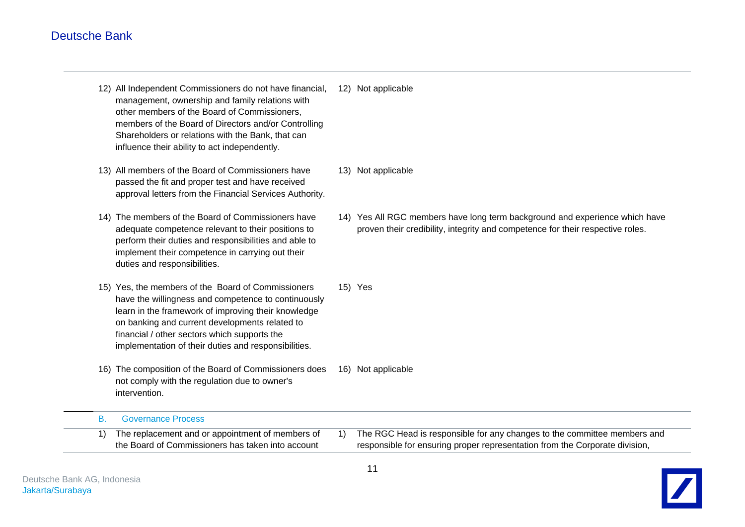- 12) All Independent Commissioners do not have financial, management, ownership and family relations with other members of the Board of Commissioners, members of the Board of Directors and/or Controlling Shareholders or relations with the Bank, that can influence their ability to act independently. 12) Not applicable
- 13) All members of the Board of Commissioners have passed the fit and proper test and have received approval letters from the Financial Services Authority.
- 14) The members of the Board of Commissioners have adequate competence relevant to their positions to perform their duties and responsibilities and able to implement their competence in carrying out their duties and responsibilities.
- 15) Yes, the members of the Board of Commissioners have the willingness and competence to continuously learn in the framework of improving their knowledge on banking and current developments related to financial / other sectors which supports the implementation of their duties and responsibilities.
- 16) The composition of the Board of Commissioners does not comply with the regulation due to owner's intervention. 16) Not applicable
- - 13) Not applicable
	- 14) Yes All RGC members have long term background and experience which have proven their credibility, integrity and competence for their respective roles.
	- 15) Yes

- B. Governance Process 1) The replacement and or appointment of members of
	- the Board of Commissioners has taken into account
- 1) The RGC Head is responsible for any changes to the committee members and responsible for ensuring proper representation from the Corporate division,

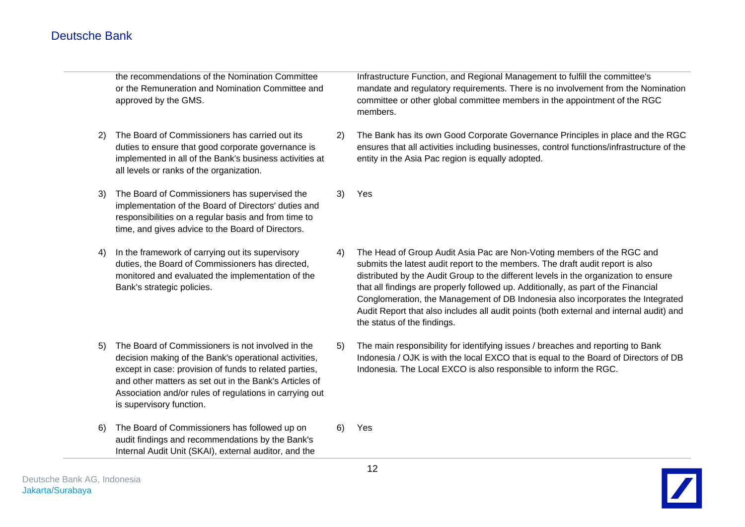the recommendations of the Nomination Committee or the Remuneration and Nomination Committee and approved by the GMS.

- 2) The Board of Commissioners has carried out its duties to ensure that good corporate governance is implemented in all of the Bank's business activities at all levels or ranks of the organization.
- 3) The Board of Commissioners has supervised the implementation of the Board of Directors' duties and responsibilities on a regular basis and from time to time, and gives advice to the Board of Directors.
- 4) In the framework of carrying out its supervisory duties, the Board of Commissioners has directed, monitored and evaluated the implementation of the Bank's strategic policies.
- 5) The Board of Commissioners is not involved in the decision making of the Bank's operational activities, except in case: provision of funds to related parties, and other matters as set out in the Bank's Articles of Association and/or rules of regulations in carrying out is supervisory function.
- 6) The Board of Commissioners has followed up on audit findings and recommendations by the Bank's Internal Audit Unit (SKAI), external auditor, and the

Infrastructure Function, and Regional Management to fulfill the committee's mandate and regulatory requirements. There is no involvement from the Nomination committee or other global committee members in the appointment of the RGC members.

- 2) The Bank has its own Good Corporate Governance Principles in place and the RGC ensures that all activities including businesses, control functions/infrastructure of the entity in the Asia Pac region is equally adopted.
- 3) Yes
- 4) The Head of Group Audit Asia Pac are Non-Voting members of the RGC and submits the latest audit report to the members. The draft audit report is also distributed by the Audit Group to the different levels in the organization to ensure that all findings are properly followed up. Additionally, as part of the Financial Conglomeration, the Management of DB Indonesia also incorporates the Integrated Audit Report that also includes all audit points (both external and internal audit) and the status of the findings.
- 5) The main responsibility for identifying issues / breaches and reporting to Bank Indonesia / OJK is with the local EXCO that is equal to the Board of Directors of DB Indonesia. The Local EXCO is also responsible to inform the RGC.
- 6) Yes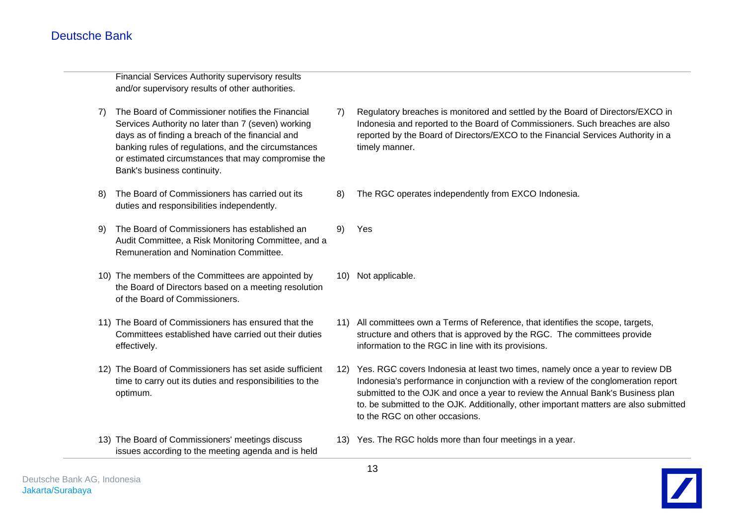Financial Services Authority supervisory results and/or supervisory results of other authorities.

- 7) The Board of Commissioner notifies the Financial Services Authority no later than 7 (seven) working days as of finding a breach of the financial and banking rules of regulations, and the circumstances or estimated circumstances that may compromise the Bank's business continuity.
- 8) The Board of Commissioners has carried out its duties and responsibilities independently.
- 9) The Board of Commissioners has established an Audit Committee, a Risk Monitoring Committee, and a Remuneration and Nomination Committee. 9) Yes
- 10) The members of the Committees are appointed by the Board of Directors based on a meeting resolution of the Board of Commissioners.
- 11) The Board of Commissioners has ensured that the Committees established have carried out their duties effectively.
- 12) The Board of Commissioners has set aside sufficient time to carry out its duties and responsibilities to the optimum.
- 13) The Board of Commissioners' meetings discuss issues according to the meeting agenda and is held
- 7) Regulatory breaches is monitored and settled by the Board of Directors/EXCO in Indonesia and reported to the Board of Commissioners. Such breaches are also reported by the Board of Directors/EXCO to the Financial Services Authority in a timely manner.
- 8) The RGC operates independently from EXCO Indonesia.

- 
- 10) Not applicable.
- 11) All committees own a Terms of Reference, that identifies the scope, targets, structure and others that is approved by the RGC. The committees provide information to the RGC in line with its provisions.
- 12) Yes. RGC covers Indonesia at least two times, namely once a year to review DB Indonesia's performance in conjunction with a review of the conglomeration report submitted to the OJK and once a year to review the Annual Bank's Business plan to. be submitted to the OJK. Additionally, other important matters are also submitted to the RGC on other occasions.
- 13) Yes. The RGC holds more than four meetings in a year.

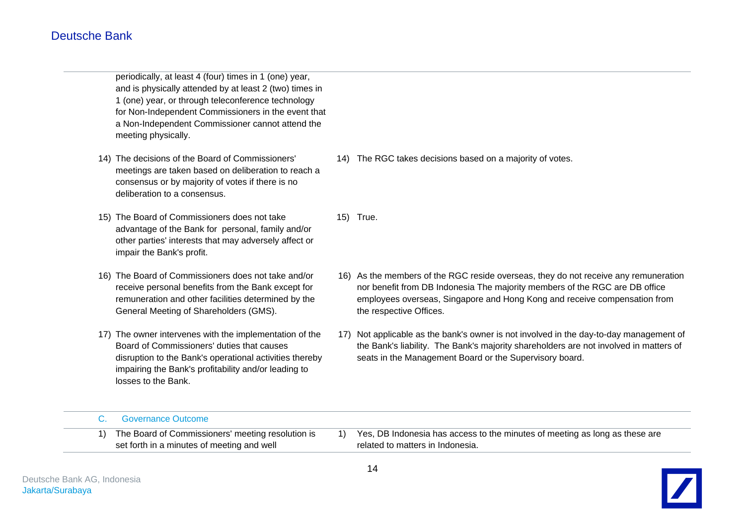periodically, at least 4 (four) times in 1 (one) year, and is physically attended by at least 2 (two) times in 1 (one) year, or through teleconference technology for Non-Independent Commissioners in the event that a Non-Independent Commissioner cannot attend the meeting physically.

- 14) The decisions of the Board of Commissioners' meetings are taken based on deliberation to reach a consensus or by majority of votes if there is no deliberation to a consensus.
- 15) The Board of Commissioners does not take advantage of the Bank for personal, family and/or other parties' interests that may adversely affect or impair the Bank's profit.
- 16) The Board of Commissioners does not take and/or receive personal benefits from the Bank except for remuneration and other facilities determined by the General Meeting of Shareholders (GMS).
- 17) The owner intervenes with the implementation of the Board of Commissioners' duties that causes disruption to the Bank's operational activities thereby impairing the Bank's profitability and/or leading to losses to the Bank.
- 14) The RGC takes decisions based on a majority of votes.
- 15) True.
- 16) As the members of the RGC reside overseas, they do not receive any remuneration nor benefit from DB Indonesia The majority members of the RGC are DB office employees overseas, Singapore and Hong Kong and receive compensation from the respective Offices.
- 17) Not applicable as the bank's owner is not involved in the day-to-day management of the Bank's liability. The Bank's majority shareholders are not involved in matters of seats in the Management Board or the Supervisory board.

| C. Governance Outcome                             |                                                                                |
|---------------------------------------------------|--------------------------------------------------------------------------------|
| The Board of Commissioners' meeting resolution is | 1) Yes, DB Indonesia has access to the minutes of meeting as long as these are |
| set forth in a minutes of meeting and well        | related to matters in Indonesia.                                               |
|                                                   |                                                                                |

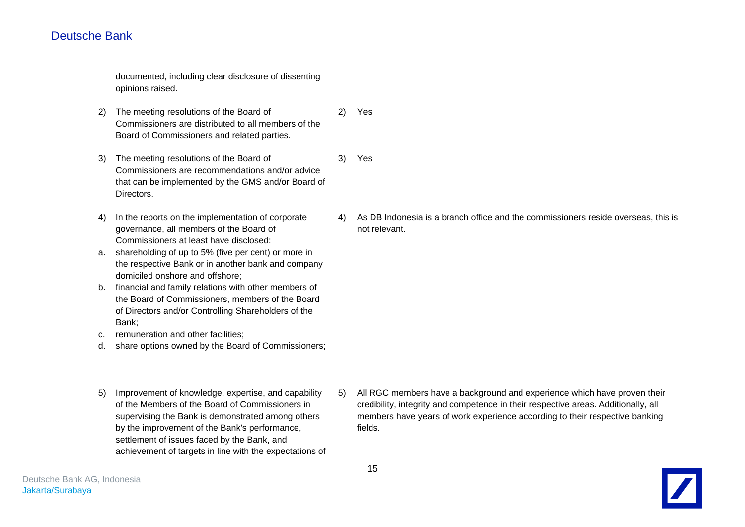documented, including clear disclosure of dissenting opinions raised.

- 2) The meeting resolutions of the Board of Commissioners are distributed to all members of the Board of Commissioners and related parties. 2) Yes
- 3) The meeting resolutions of the Board of Commissioners are recommendations and/or advice that can be implemented by the GMS and/or Board of Directors. 3) Yes
- 4) In the reports on the implementation of corporate governance, all members of the Board of Commissioners at least have disclosed:
- a. shareholding of up to 5% (five per cent) or more in the respective Bank or in another bank and company domiciled onshore and offshore;
- b. financial and family relations with other members of the Board of Commissioners, members of the Board of Directors and/or Controlling Shareholders of the Bank;
- c. remuneration and other facilities;
- d. share options owned by the Board of Commissioners;
- 5) Improvement of knowledge, expertise, and capability of the Members of the Board of Commissioners in supervising the Bank is demonstrated among others by the improvement of the Bank's performance, settlement of issues faced by the Bank, and achievement of targets in line with the expectations of
- 

4) As DB Indonesia is a branch office and the commissioners reside overseas, this is

5) All RGC members have a background and experience which have proven their credibility, integrity and competence in their respective areas. Additionally, all members have years of work experience according to their respective banking fields.



not relevant.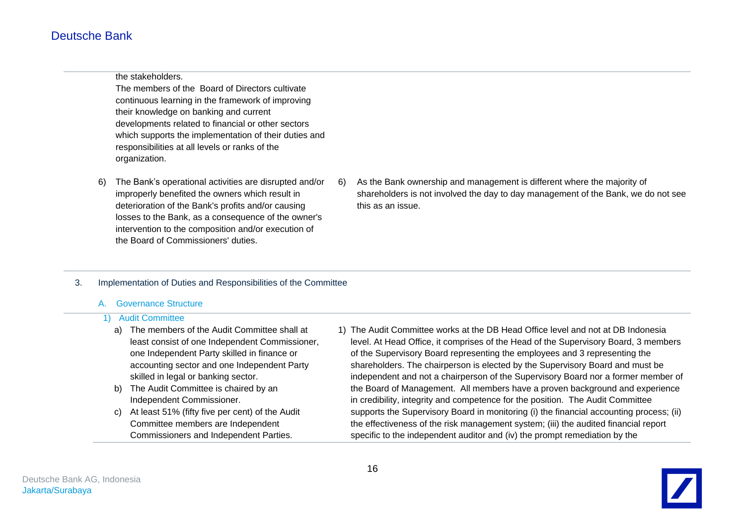the stakeholders.

The members of the Board of Directors cultivate continuous learning in the framework of improving their knowledge on banking and current developments related to financial or other sectors which supports the implementation of their duties and responsibilities at all levels or ranks of the organization.

- 6) The Bank's operational activities are disrupted and/or improperly benefited the owners which result in deterioration of the Bank's profits and/or causing losses to the Bank, as a consequence of the owner's intervention to the composition and/or execution of the Board of Commissioners' duties.
	- 6) As the Bank ownership and management is different where the majority of shareholders is not involved the day to day management of the Bank, we do not see this as an issue.

### 3. Implementation of Duties and Responsibilities of the Committee

### A. Governance Structure

#### 1) Audit Committee

- a) The members of the Audit Committee shall at least consist of one Independent Commissioner, one Independent Party skilled in finance or accounting sector and one Independent Party skilled in legal or banking sector.
- b) The Audit Committee is chaired by an Independent Commissioner.
- c) At least 51% (fifty five per cent) of the Audit Committee members are Independent Commissioners and Independent Parties.
- 1) The Audit Committee works at the DB Head Office level and not at DB Indonesia level. At Head Office, it comprises of the Head of the Supervisory Board, 3 members of the Supervisory Board representing the employees and 3 representing the shareholders. The chairperson is elected by the Supervisory Board and must be independent and not a chairperson of the Supervisory Board nor a former member of the Board of Management. All members have a proven background and experience in credibility, integrity and competence for the position. The Audit Committee supports the Supervisory Board in monitoring (i) the financial accounting process; (ii) the effectiveness of the risk management system; (iii) the audited financial report specific to the independent auditor and (iv) the prompt remediation by the

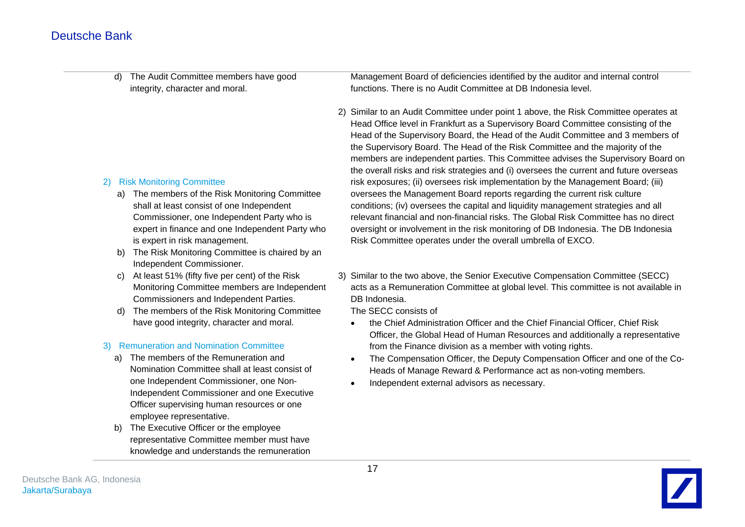d) The Audit Committee members have good integrity, character and moral.

### 2) Risk Monitoring Committee

- a) The members of the Risk Monitoring Committee shall at least consist of one Independent Commissioner, one Independent Party who is expert in finance and one Independent Party who is expert in risk management.
- b) The Risk Monitoring Committee is chaired by an Independent Commissioner.
- c) At least 51% (fifty five per cent) of the Risk Monitoring Committee members are Independent Commissioners and Independent Parties.
- d) The members of the Risk Monitoring Committee have good integrity, character and moral.

### 3) Remuneration and Nomination Committee

- a) The members of the Remuneration and Nomination Committee shall at least consist of one Independent Commissioner, one Non-Independent Commissioner and one Executive Officer supervising human resources or one employee representative.
- b) The Executive Officer or the employee representative Committee member must have knowledge and understands the remuneration

Management Board of deficiencies identified by the auditor and internal control functions. There is no Audit Committee at DB Indonesia level.

- 2) Similar to an Audit Committee under point 1 above, the Risk Committee operates at Head Office level in Frankfurt as a Supervisory Board Committee consisting of the Head of the Supervisory Board, the Head of the Audit Committee and 3 members of the Supervisory Board. The Head of the Risk Committee and the majority of the members are independent parties. This Committee advises the Supervisory Board on the overall risks and risk strategies and (i) oversees the current and future overseas risk exposures; (ii) oversees risk implementation by the Management Board; (iii) oversees the Management Board reports regarding the current risk culture conditions; (iv) oversees the capital and liquidity management strategies and all relevant financial and non-financial risks. The Global Risk Committee has no direct oversight or involvement in the risk monitoring of DB Indonesia. The DB Indonesia Risk Committee operates under the overall umbrella of EXCO.
- 3) Similar to the two above, the Senior Executive Compensation Committee (SECC) acts as a Remuneration Committee at global level. This committee is not available in DB Indonesia.

The SECC consists of

- the Chief Administration Officer and the Chief Financial Officer, Chief Risk Officer, the Global Head of Human Resources and additionally a representative from the Finance division as a member with voting rights.
- The Compensation Officer, the Deputy Compensation Officer and one of the Co-Heads of Manage Reward & Performance act as non-voting members.
- Independent external advisors as necessary.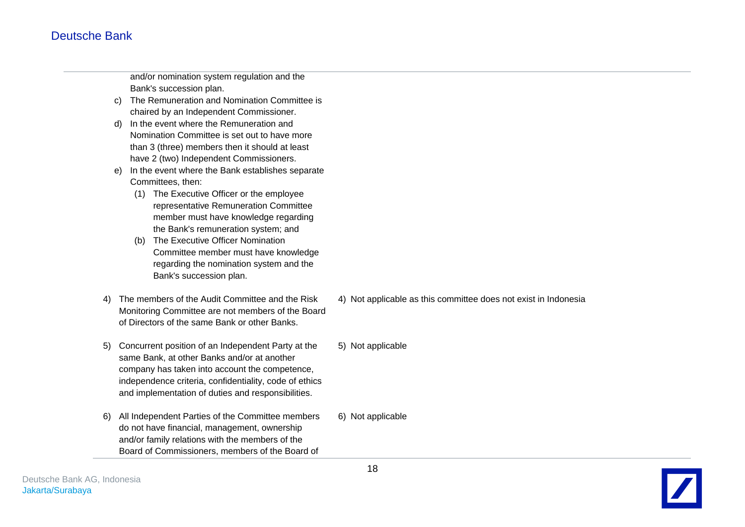and/or nomination system regulation and the Bank's succession plan.

- c) The Remuneration and Nomination Committee is chaired by an Independent Commissioner.
- d) In the event where the Remuneration and Nomination Committee is set out to have more than 3 (three) members then it should at least have 2 (two) Independent Commissioners.
- e) In the event where the Bank establishes separate Committees, then:
	- (1) The Executive Officer or the employee representative Remuneration Committee member must have knowledge regarding the Bank's remuneration system; and
	- (b) The Executive Officer Nomination Committee member must have knowledge regarding the nomination system and the Bank's succession plan.
- 4) The members of the Audit Committee and the Risk Monitoring Committee are not members of the Board of Directors of the same Bank or other Banks.
- 5) Concurrent position of an Independent Party at the same Bank, at other Banks and/or at another company has taken into account the competence, independence criteria, confidentiality, code of ethics and implementation of duties and responsibilities.
- 6) All Independent Parties of the Committee members do not have financial, management, ownership and/or family relations with the members of the Board of Commissioners, members of the Board of 6) Not applicable
- 4) Not applicable as this committee does not exist in Indonesia
- 5) Not applicable

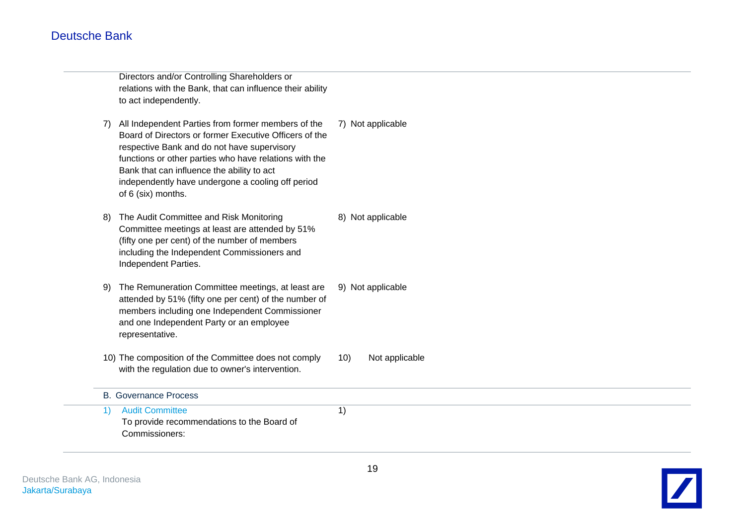Directors and/or Controlling Shareholders or relations with the Bank, that can influence their ability to act independently.

- 7) All Independent Parties from former members of the Board of Directors or former Executive Officers of the respective Bank and do not have supervisory functions or other parties who have relations with the Bank that can influence the ability to act independently have undergone a cooling off period of 6 (six) months. 7) Not applicable
- 8) The Audit Committee and Risk Monitoring Committee meetings at least are attended by 51% (fifty one per cent) of the number of members including the Independent Commissioners and Independent Parties. 8) Not applicable
- 9) The Remuneration Committee meetings, at least are attended by 51% (fifty one per cent) of the number of members including one Independent Commissioner and one Independent Party or an employee representative. 9) Not applicable
- 10) The composition of the Committee does not comply with the regulation due to owner's intervention.
	- 10) Not applicable

B. Governance Process 1) Audit Committee To provide recommendations to the Board of Commissioners: 1)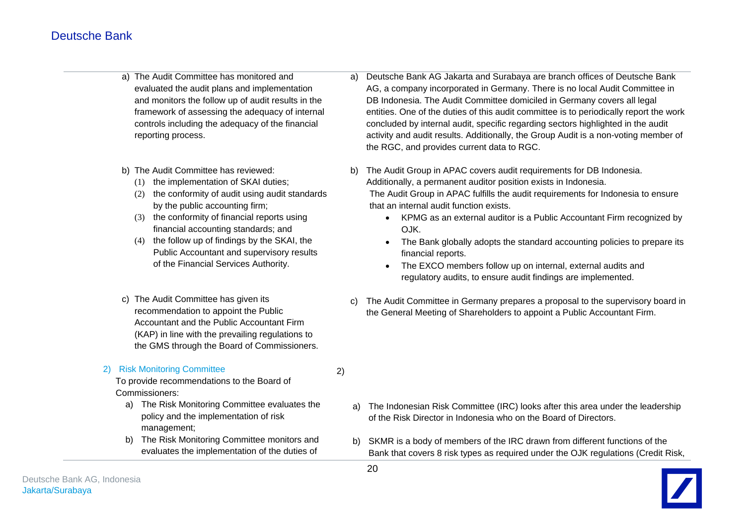- a) The Audit Committee has monitored and evaluated the audit plans and implementation and monitors the follow up of audit results in the framework of assessing the adequacy of internal controls including the adequacy of the financial reporting process.
- b) The Audit Committee has reviewed:
	- (1) the implementation of SKAI duties;
	- (2) the conformity of audit using audit standards by the public accounting firm;
	- (3) the conformity of financial reports using financial accounting standards; and
	- (4) the follow up of findings by the SKAI, the Public Accountant and supervisory results of the Financial Services Authority.
- c) The Audit Committee has given its recommendation to appoint the Public Accountant and the Public Accountant Firm (KAP) in line with the prevailing regulations to the GMS through the Board of Commissioners.
- 2) Risk Monitoring Committee To provide recommendations to the Board of Commissioners: a) The Risk Monitoring Committee evaluates the policy and the implementation of risk management; b) The Risk Monitoring Committee monitors and evaluates the implementation of the duties of
- a) Deutsche Bank AG Jakarta and Surabaya are branch offices of Deutsche Bank AG, a company incorporated in Germany. There is no local Audit Committee in DB Indonesia. The Audit Committee domiciled in Germany covers all legal entities. One of the duties of this audit committee is to periodically report the work concluded by internal audit, specific regarding sectors highlighted in the audit activity and audit results. Additionally, the Group Audit is a non-voting member of the RGC, and provides current data to RGC.
- b) The Audit Group in APAC covers audit requirements for DB Indonesia. Additionally, a permanent auditor position exists in Indonesia.

The Audit Group in APAC fulfills the audit requirements for Indonesia to ensure that an internal audit function exists.

- KPMG as an external auditor is a Public Accountant Firm recognized by OJK.
- The Bank globally adopts the standard accounting policies to prepare its financial reports.
- The EXCO members follow up on internal, external audits and regulatory audits, to ensure audit findings are implemented.
- c) The Audit Committee in Germany prepares a proposal to the supervisory board in the General Meeting of Shareholders to appoint a Public Accountant Firm.

- a) The Indonesian Risk Committee (IRC) looks after this area under the leadership of the Risk Director in Indonesia who on the Board of Directors.
- b) SKMR is a body of members of the IRC drawn from different functions of the Bank that covers 8 risk types as required under the OJK regulations (Credit Risk,



2)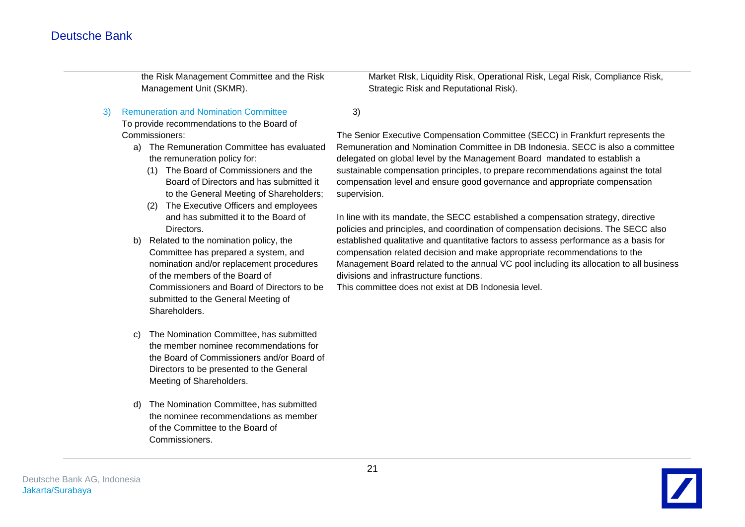the Risk Management Committee and the Risk Management Unit (SKMR).

3) Remuneration and Nomination Committee

To provide recommendations to the Board of Commissioners:

- a) The Remuneration Committee has evaluated the remuneration policy for:
	- (1) The Board of Commissioners and the Board of Directors and has submitted it to the General Meeting of Shareholders;
	- (2) The Executive Officers and employees and has submitted it to the Board of Directors.
- b) Related to the nomination policy, the Committee has prepared a system, and nomination and/or replacement procedures of the members of the Board of Commissioners and Board of Directors to be submitted to the General Meeting of **Shareholders**
- c) The Nomination Committee, has submitted the member nominee recommendations for the Board of Commissioners and/or Board of Directors to be presented to the General Meeting of Shareholders.
- d) The Nomination Committee, has submitted the nominee recommendations as member of the Committee to the Board of Commissioners.

Market RIsk, Liquidity Risk, Operational Risk, Legal Risk, Compliance Risk, Strategic Risk and Reputational Risk).

3)

The Senior Executive Compensation Committee (SECC) in Frankfurt represents the Remuneration and Nomination Committee in DB Indonesia. SECC is also a committee delegated on global level by the Management Board mandated to establish a sustainable compensation principles, to prepare recommendations against the total compensation level and ensure good governance and appropriate compensation supervision.

In line with its mandate, the SECC established a compensation strategy, directive policies and principles, and coordination of compensation decisions. The SECC also established qualitative and quantitative factors to assess performance as a basis for compensation related decision and make appropriate recommendations to the Management Board related to the annual VC pool including its allocation to all business divisions and infrastructure functions.

This committee does not exist at DB Indonesia level.

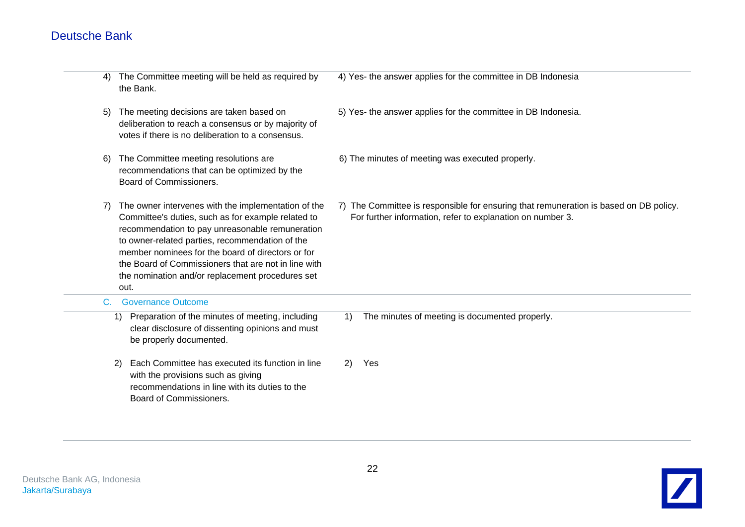| 4) | The Committee meeting will be held as required by<br>the Bank.                                                                                                                                                                                                                                                                                                                           | 4) Yes- the answer applies for the committee in DB Indonesia                                                                                        |
|----|------------------------------------------------------------------------------------------------------------------------------------------------------------------------------------------------------------------------------------------------------------------------------------------------------------------------------------------------------------------------------------------|-----------------------------------------------------------------------------------------------------------------------------------------------------|
| 5) | The meeting decisions are taken based on<br>deliberation to reach a consensus or by majority of<br>votes if there is no deliberation to a consensus.                                                                                                                                                                                                                                     | 5) Yes- the answer applies for the committee in DB Indonesia.                                                                                       |
| 6) | The Committee meeting resolutions are<br>recommendations that can be optimized by the<br>Board of Commissioners.                                                                                                                                                                                                                                                                         | 6) The minutes of meeting was executed properly.                                                                                                    |
| 7) | The owner intervenes with the implementation of the<br>Committee's duties, such as for example related to<br>recommendation to pay unreasonable remuneration<br>to owner-related parties, recommendation of the<br>member nominees for the board of directors or for<br>the Board of Commissioners that are not in line with<br>the nomination and/or replacement procedures set<br>out. | 7) The Committee is responsible for ensuring that remuneration is based on DB policy.<br>For further information, refer to explanation on number 3. |
| C. | <b>Governance Outcome</b>                                                                                                                                                                                                                                                                                                                                                                |                                                                                                                                                     |
|    | Preparation of the minutes of meeting, including<br>1)<br>clear disclosure of dissenting opinions and must<br>be properly documented.                                                                                                                                                                                                                                                    | The minutes of meeting is documented properly.<br>1)                                                                                                |
|    | Each Committee has executed its function in line<br>2)<br>with the provisions such as giving<br>recommendations in line with its duties to the<br>Board of Commissioners.                                                                                                                                                                                                                | Yes<br>2)                                                                                                                                           |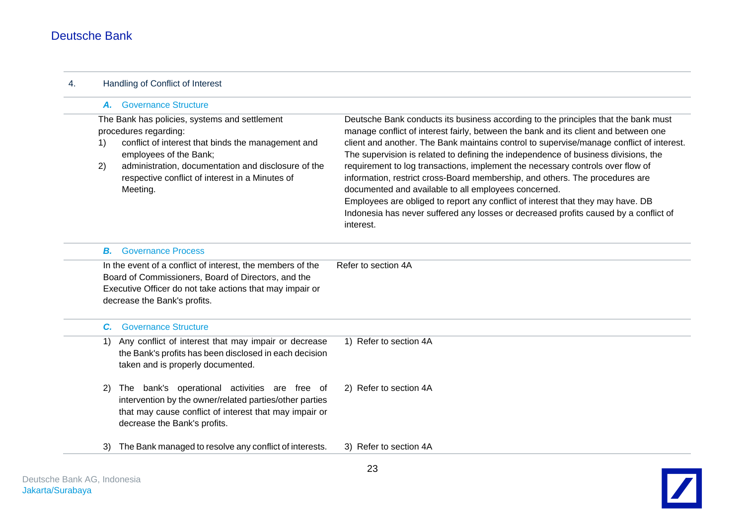| 4. | Handling of Conflict of Interest                                                                                                                                                                                                                                                         |                                                                                                                                                                                                                                                                                                                                                                                                                                                                                                                                                                                                                                                                                                                                                                               |  |  |
|----|------------------------------------------------------------------------------------------------------------------------------------------------------------------------------------------------------------------------------------------------------------------------------------------|-------------------------------------------------------------------------------------------------------------------------------------------------------------------------------------------------------------------------------------------------------------------------------------------------------------------------------------------------------------------------------------------------------------------------------------------------------------------------------------------------------------------------------------------------------------------------------------------------------------------------------------------------------------------------------------------------------------------------------------------------------------------------------|--|--|
|    | A. Governance Structure                                                                                                                                                                                                                                                                  |                                                                                                                                                                                                                                                                                                                                                                                                                                                                                                                                                                                                                                                                                                                                                                               |  |  |
|    | The Bank has policies, systems and settlement<br>procedures regarding:<br>conflict of interest that binds the management and<br>1)<br>employees of the Bank;<br>administration, documentation and disclosure of the<br>2)<br>respective conflict of interest in a Minutes of<br>Meeting. | Deutsche Bank conducts its business according to the principles that the bank must<br>manage conflict of interest fairly, between the bank and its client and between one<br>client and another. The Bank maintains control to supervise/manage conflict of interest.<br>The supervision is related to defining the independence of business divisions, the<br>requirement to log transactions, implement the necessary controls over flow of<br>information, restrict cross-Board membership, and others. The procedures are<br>documented and available to all employees concerned.<br>Employees are obliged to report any conflict of interest that they may have. DB<br>Indonesia has never suffered any losses or decreased profits caused by a conflict of<br>interest. |  |  |
|    | <b>Governance Process</b><br>В.                                                                                                                                                                                                                                                          |                                                                                                                                                                                                                                                                                                                                                                                                                                                                                                                                                                                                                                                                                                                                                                               |  |  |
|    | In the event of a conflict of interest, the members of the<br>Board of Commissioners, Board of Directors, and the<br>Executive Officer do not take actions that may impair or<br>decrease the Bank's profits.                                                                            | Refer to section 4A                                                                                                                                                                                                                                                                                                                                                                                                                                                                                                                                                                                                                                                                                                                                                           |  |  |
|    | <b>Governance Structure</b><br>C.                                                                                                                                                                                                                                                        |                                                                                                                                                                                                                                                                                                                                                                                                                                                                                                                                                                                                                                                                                                                                                                               |  |  |
|    | Any conflict of interest that may impair or decrease<br>1)<br>the Bank's profits has been disclosed in each decision<br>taken and is properly documented.                                                                                                                                | 1) Refer to section 4A                                                                                                                                                                                                                                                                                                                                                                                                                                                                                                                                                                                                                                                                                                                                                        |  |  |
|    | The bank's operational activities are free of<br>2)<br>intervention by the owner/related parties/other parties<br>that may cause conflict of interest that may impair or<br>decrease the Bank's profits.                                                                                 | 2) Refer to section 4A                                                                                                                                                                                                                                                                                                                                                                                                                                                                                                                                                                                                                                                                                                                                                        |  |  |
|    | The Bank managed to resolve any conflict of interests.<br>3)                                                                                                                                                                                                                             | 3) Refer to section 4A                                                                                                                                                                                                                                                                                                                                                                                                                                                                                                                                                                                                                                                                                                                                                        |  |  |

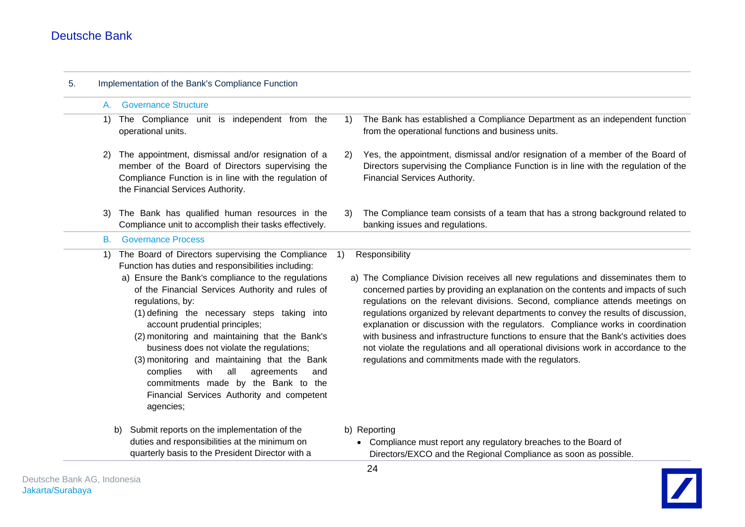| 5. |           | Implementation of the Bank's Compliance Function                                                                                                                                                                                                                                                                                                                                                                                                                                                                                                                                                                           |    |                                                                                                                                                                                                                                                                                                                                                                                                                                                                                                                                                                                                                                                                                           |  |  |  |  |  |  |
|----|-----------|----------------------------------------------------------------------------------------------------------------------------------------------------------------------------------------------------------------------------------------------------------------------------------------------------------------------------------------------------------------------------------------------------------------------------------------------------------------------------------------------------------------------------------------------------------------------------------------------------------------------------|----|-------------------------------------------------------------------------------------------------------------------------------------------------------------------------------------------------------------------------------------------------------------------------------------------------------------------------------------------------------------------------------------------------------------------------------------------------------------------------------------------------------------------------------------------------------------------------------------------------------------------------------------------------------------------------------------------|--|--|--|--|--|--|
|    | А.        | <b>Governance Structure</b>                                                                                                                                                                                                                                                                                                                                                                                                                                                                                                                                                                                                |    |                                                                                                                                                                                                                                                                                                                                                                                                                                                                                                                                                                                                                                                                                           |  |  |  |  |  |  |
|    | 1)        | The Compliance unit is independent from the<br>operational units.                                                                                                                                                                                                                                                                                                                                                                                                                                                                                                                                                          | 1) | The Bank has established a Compliance Department as an independent function<br>from the operational functions and business units.                                                                                                                                                                                                                                                                                                                                                                                                                                                                                                                                                         |  |  |  |  |  |  |
|    | 2)        | The appointment, dismissal and/or resignation of a<br>member of the Board of Directors supervising the<br>Compliance Function is in line with the regulation of<br>the Financial Services Authority.                                                                                                                                                                                                                                                                                                                                                                                                                       | 2) | Yes, the appointment, dismissal and/or resignation of a member of the Board of<br>Directors supervising the Compliance Function is in line with the regulation of the<br>Financial Services Authority.                                                                                                                                                                                                                                                                                                                                                                                                                                                                                    |  |  |  |  |  |  |
|    | 3)        | The Bank has qualified human resources in the<br>Compliance unit to accomplish their tasks effectively.                                                                                                                                                                                                                                                                                                                                                                                                                                                                                                                    | 3) | The Compliance team consists of a team that has a strong background related to<br>banking issues and regulations.                                                                                                                                                                                                                                                                                                                                                                                                                                                                                                                                                                         |  |  |  |  |  |  |
|    | <b>B.</b> | <b>Governance Process</b>                                                                                                                                                                                                                                                                                                                                                                                                                                                                                                                                                                                                  |    |                                                                                                                                                                                                                                                                                                                                                                                                                                                                                                                                                                                                                                                                                           |  |  |  |  |  |  |
|    | 1)        | The Board of Directors supervising the Compliance<br>Function has duties and responsibilities including:<br>a) Ensure the Bank's compliance to the regulations<br>of the Financial Services Authority and rules of<br>regulations, by:<br>(1) defining the necessary steps taking into<br>account prudential principles;<br>(2) monitoring and maintaining that the Bank's<br>business does not violate the regulations;<br>(3) monitoring and maintaining that the Bank<br>complies<br>with<br>all<br>agreements<br>and<br>commitments made by the Bank to the<br>Financial Services Authority and competent<br>agencies; | 1) | Responsibility<br>a) The Compliance Division receives all new regulations and disseminates them to<br>concerned parties by providing an explanation on the contents and impacts of such<br>regulations on the relevant divisions. Second, compliance attends meetings on<br>regulations organized by relevant departments to convey the results of discussion,<br>explanation or discussion with the regulators. Compliance works in coordination<br>with business and infrastructure functions to ensure that the Bank's activities does<br>not violate the regulations and all operational divisions work in accordance to the<br>regulations and commitments made with the regulators. |  |  |  |  |  |  |
|    |           | Submit reports on the implementation of the<br>b)<br>duties and responsibilities at the minimum on<br>quarterly basis to the President Director with a                                                                                                                                                                                                                                                                                                                                                                                                                                                                     |    | b) Reporting<br>• Compliance must report any regulatory breaches to the Board of<br>Directors/EXCO and the Regional Compliance as soon as possible.                                                                                                                                                                                                                                                                                                                                                                                                                                                                                                                                       |  |  |  |  |  |  |

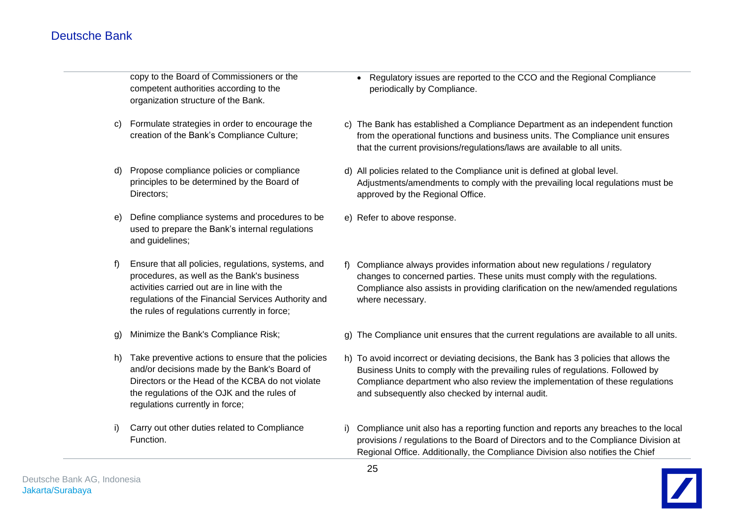copy to the Board of Commissioners or the competent authorities according to the organization structure of the Bank.

- c) Formulate strategies in order to encourage the creation of the Bank's Compliance Culture;
- d) Propose compliance policies or compliance principles to be determined by the Board of Directors;
- e) Define compliance systems and procedures to be used to prepare the Bank's internal regulations and guidelines;
- f) Ensure that all policies, regulations, systems, and procedures, as well as the Bank's business activities carried out are in line with the regulations of the Financial Services Authority and the rules of regulations currently in force;
- g) Minimize the Bank's Compliance Risk;
- h) Take preventive actions to ensure that the policies and/or decisions made by the Bank's Board of Directors or the Head of the KCBA do not violate the regulations of the OJK and the rules of regulations currently in force;
- i) Carry out other duties related to Compliance Function.
- Regulatory issues are reported to the CCO and the Regional Compliance periodically by Compliance.
- c) The Bank has established a Compliance Department as an independent function from the operational functions and business units. The Compliance unit ensures that the current provisions/regulations/laws are available to all units.
- d) All policies related to the Compliance unit is defined at global level. Adjustments/amendments to comply with the prevailing local regulations must be approved by the Regional Office.
- e) Refer to above response.
- f) Compliance always provides information about new regulations / regulatory changes to concerned parties. These units must comply with the regulations. Compliance also assists in providing clarification on the new/amended regulations where necessary.
- g) The Compliance unit ensures that the current regulations are available to all units.
- h) To avoid incorrect or deviating decisions, the Bank has 3 policies that allows the Business Units to comply with the prevailing rules of regulations. Followed by Compliance department who also review the implementation of these regulations and subsequently also checked by internal audit.
- i) Compliance unit also has a reporting function and reports any breaches to the local provisions / regulations to the Board of Directors and to the Compliance Division at Regional Office. Additionally, the Compliance Division also notifies the Chief

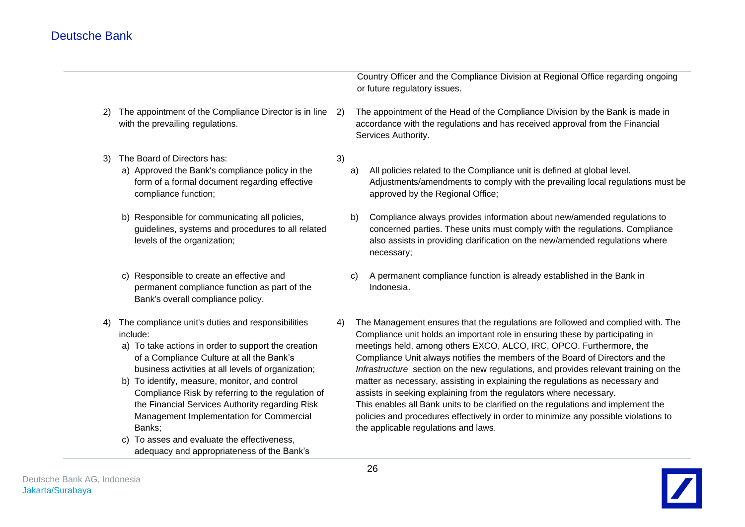|    |                                                                                                                                                                                                                                                                                                                                                                                                                                                                                                                                     |    |    | Country Officer and the Compliance Division at Regional Office regarding ongoing<br>or future regulatory issues.                                                                                                                                                                                                                                                                                                                                                                                                                                                                                                                                                                                                                                                                           |
|----|-------------------------------------------------------------------------------------------------------------------------------------------------------------------------------------------------------------------------------------------------------------------------------------------------------------------------------------------------------------------------------------------------------------------------------------------------------------------------------------------------------------------------------------|----|----|--------------------------------------------------------------------------------------------------------------------------------------------------------------------------------------------------------------------------------------------------------------------------------------------------------------------------------------------------------------------------------------------------------------------------------------------------------------------------------------------------------------------------------------------------------------------------------------------------------------------------------------------------------------------------------------------------------------------------------------------------------------------------------------------|
| 2) | The appointment of the Compliance Director is in line<br>with the prevailing regulations.                                                                                                                                                                                                                                                                                                                                                                                                                                           | 2) |    | The appointment of the Head of the Compliance Division by the Bank is made in<br>accordance with the regulations and has received approval from the Financial<br>Services Authority.                                                                                                                                                                                                                                                                                                                                                                                                                                                                                                                                                                                                       |
| 3) | The Board of Directors has:<br>a) Approved the Bank's compliance policy in the<br>form of a formal document regarding effective<br>compliance function;                                                                                                                                                                                                                                                                                                                                                                             | 3) | a) | All policies related to the Compliance unit is defined at global level.<br>Adjustments/amendments to comply with the prevailing local regulations must be<br>approved by the Regional Office;                                                                                                                                                                                                                                                                                                                                                                                                                                                                                                                                                                                              |
|    | b) Responsible for communicating all policies,<br>guidelines, systems and procedures to all related<br>levels of the organization;                                                                                                                                                                                                                                                                                                                                                                                                  |    | b) | Compliance always provides information about new/amended regulations to<br>concerned parties. These units must comply with the regulations. Compliance<br>also assists in providing clarification on the new/amended regulations where<br>necessary;                                                                                                                                                                                                                                                                                                                                                                                                                                                                                                                                       |
|    | c) Responsible to create an effective and<br>permanent compliance function as part of the<br>Bank's overall compliance policy.                                                                                                                                                                                                                                                                                                                                                                                                      |    | C) | A permanent compliance function is already established in the Bank in<br>Indonesia.                                                                                                                                                                                                                                                                                                                                                                                                                                                                                                                                                                                                                                                                                                        |
| 4) | The compliance unit's duties and responsibilities<br>include:<br>a) To take actions in order to support the creation<br>of a Compliance Culture at all the Bank's<br>business activities at all levels of organization;<br>b) To identify, measure, monitor, and control<br>Compliance Risk by referring to the regulation of<br>the Financial Services Authority regarding Risk<br>Management Implementation for Commercial<br>Banks;<br>c) To asses and evaluate the effectiveness,<br>adequacy and appropriateness of the Bank's | 4) |    | The Management ensures that the regulations are followed and complied with. The<br>Compliance unit holds an important role in ensuring these by participating in<br>meetings held, among others EXCO, ALCO, IRC, OPCO. Furthermore, the<br>Compliance Unit always notifies the members of the Board of Directors and the<br>Infrastructure section on the new regulations, and provides relevant training on the<br>matter as necessary, assisting in explaining the regulations as necessary and<br>assists in seeking explaining from the regulators where necessary.<br>This enables all Bank units to be clarified on the regulations and implement the<br>policies and procedures effectively in order to minimize any possible violations to<br>the applicable regulations and laws. |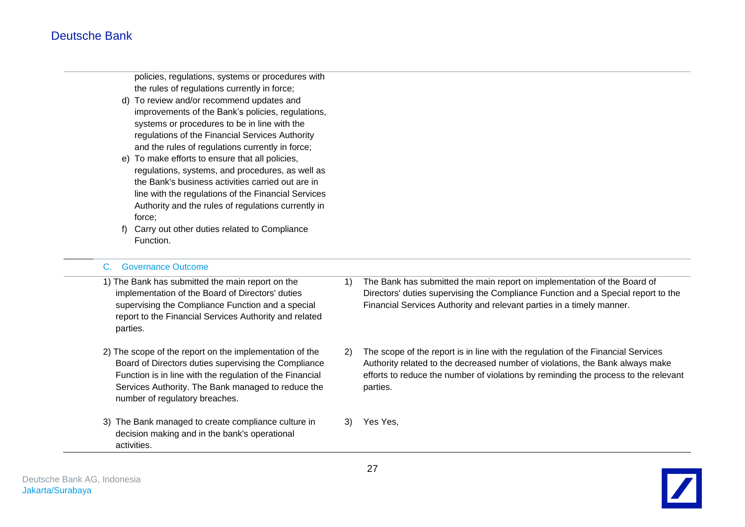policies, regulations, systems or procedures with the rules of regulations currently in force;

- d) To review and/or recommend updates and improvements of the Bank's policies, regulations, systems or procedures to be in line with the regulations of the Financial Services Authority and the rules of regulations currently in force;
- e) To make efforts to ensure that all policies, regulations, systems, and procedures, as well as the Bank's business activities carried out are in line with the regulations of the Financial Services Authority and the rules of regulations currently in force;
- f) Carry out other duties related to Compliance Function.

#### C. Governance Outcome

| 1) The Bank has submitted the main report on the<br>implementation of the Board of Directors' duties<br>supervising the Compliance Function and a special<br>report to the Financial Services Authority and related<br>parties.                                     | 1) | The Bank has submitted the main report on implementation of the Board of<br>Directors' duties supervising the Compliance Function and a Special report to the<br>Financial Services Authority and relevant parties in a timely manner.                               |
|---------------------------------------------------------------------------------------------------------------------------------------------------------------------------------------------------------------------------------------------------------------------|----|----------------------------------------------------------------------------------------------------------------------------------------------------------------------------------------------------------------------------------------------------------------------|
| 2) The scope of the report on the implementation of the<br>Board of Directors duties supervising the Compliance<br>Function is in line with the regulation of the Financial<br>Services Authority. The Bank managed to reduce the<br>number of regulatory breaches. | 2) | The scope of the report is in line with the regulation of the Financial Services<br>Authority related to the decreased number of violations, the Bank always make<br>efforts to reduce the number of violations by reminding the process to the relevant<br>parties. |
| 3) The Bank managed to create compliance culture in<br>decision making and in the bank's operational<br>activities.                                                                                                                                                 | 3) | Yes Yes,                                                                                                                                                                                                                                                             |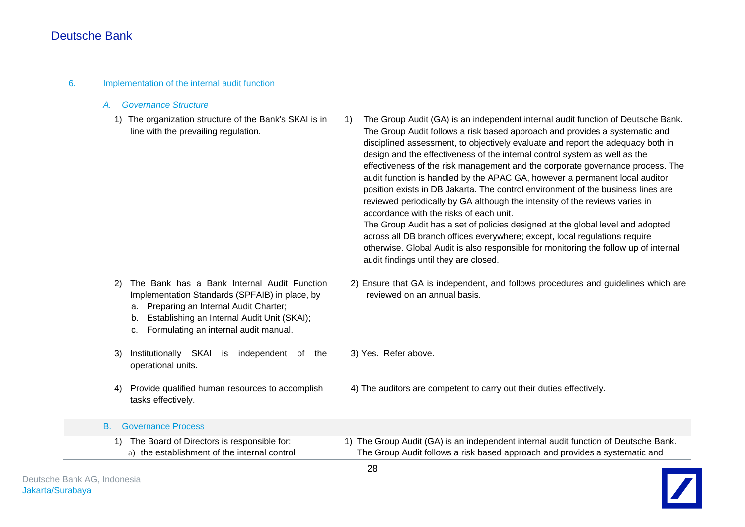| A.        | <b>Governance Structure</b>                                                                                                                                                                                                                     |                                                                                                                                                                                                                                                                                                                                                                                                                                                                                                                                                                                                                                                                                                                                                                                                                                                                                                                                                                                                                        |  |  |
|-----------|-------------------------------------------------------------------------------------------------------------------------------------------------------------------------------------------------------------------------------------------------|------------------------------------------------------------------------------------------------------------------------------------------------------------------------------------------------------------------------------------------------------------------------------------------------------------------------------------------------------------------------------------------------------------------------------------------------------------------------------------------------------------------------------------------------------------------------------------------------------------------------------------------------------------------------------------------------------------------------------------------------------------------------------------------------------------------------------------------------------------------------------------------------------------------------------------------------------------------------------------------------------------------------|--|--|
|           | 1) The organization structure of the Bank's SKAI is in<br>line with the prevailing regulation.                                                                                                                                                  | The Group Audit (GA) is an independent internal audit function of Deutsche Bank.<br>1)<br>The Group Audit follows a risk based approach and provides a systematic and<br>disciplined assessment, to objectively evaluate and report the adequacy both in<br>design and the effectiveness of the internal control system as well as the<br>effectiveness of the risk management and the corporate governance process. The<br>audit function is handled by the APAC GA, however a permanent local auditor<br>position exists in DB Jakarta. The control environment of the business lines are<br>reviewed periodically by GA although the intensity of the reviews varies in<br>accordance with the risks of each unit.<br>The Group Audit has a set of policies designed at the global level and adopted<br>across all DB branch offices everywhere; except, local regulations require<br>otherwise. Global Audit is also responsible for monitoring the follow up of internal<br>audit findings until they are closed. |  |  |
| 2)        | The Bank has a Bank Internal Audit Function<br>Implementation Standards (SPFAIB) in place, by<br>Preparing an Internal Audit Charter;<br>a.<br>Establishing an Internal Audit Unit (SKAI);<br>b.<br>Formulating an internal audit manual.<br>c. | 2) Ensure that GA is independent, and follows procedures and guidelines which are<br>reviewed on an annual basis.                                                                                                                                                                                                                                                                                                                                                                                                                                                                                                                                                                                                                                                                                                                                                                                                                                                                                                      |  |  |
| 3)        | Institutionally SKAI<br>independent of the<br>is<br>operational units.                                                                                                                                                                          | 3) Yes. Refer above.                                                                                                                                                                                                                                                                                                                                                                                                                                                                                                                                                                                                                                                                                                                                                                                                                                                                                                                                                                                                   |  |  |
| 4)        | Provide qualified human resources to accomplish<br>tasks effectively.                                                                                                                                                                           | 4) The auditors are competent to carry out their duties effectively.                                                                                                                                                                                                                                                                                                                                                                                                                                                                                                                                                                                                                                                                                                                                                                                                                                                                                                                                                   |  |  |
| <b>B.</b> | <b>Governance Process</b>                                                                                                                                                                                                                       |                                                                                                                                                                                                                                                                                                                                                                                                                                                                                                                                                                                                                                                                                                                                                                                                                                                                                                                                                                                                                        |  |  |
|           | 1) The Board of Directors is responsible for:                                                                                                                                                                                                   | 1) The Group Audit (GA) is an independent internal audit function of Deutsche Bank.                                                                                                                                                                                                                                                                                                                                                                                                                                                                                                                                                                                                                                                                                                                                                                                                                                                                                                                                    |  |  |
|           | a) the establishment of the internal control                                                                                                                                                                                                    | The Group Audit follows a risk based approach and provides a systematic and                                                                                                                                                                                                                                                                                                                                                                                                                                                                                                                                                                                                                                                                                                                                                                                                                                                                                                                                            |  |  |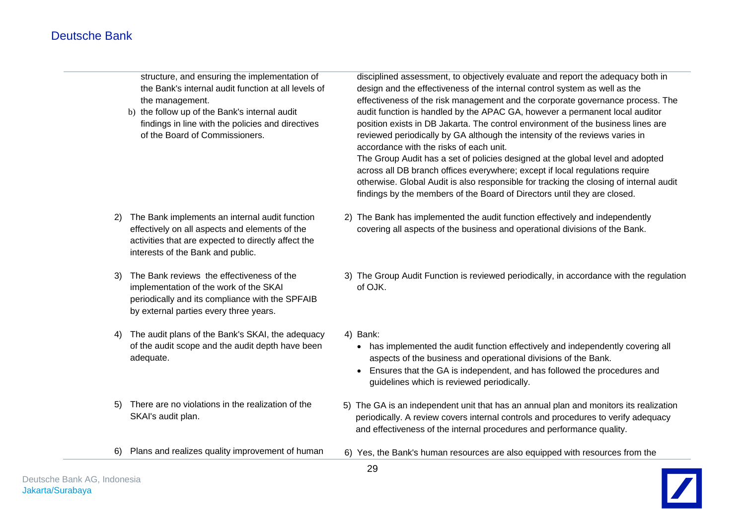structure, and ensuring the implementation of the Bank's internal audit function at all levels of the management.

b) the follow up of the Bank's internal audit findings in line with the policies and directives of the Board of Commissioners.

disciplined assessment, to objectively evaluate and report the adequacy both in design and the effectiveness of the internal control system as well as the effectiveness of the risk management and the corporate governance process. The audit function is handled by the APAC GA, however a permanent local auditor position exists in DB Jakarta. The control environment of the business lines are reviewed periodically by GA although the intensity of the reviews varies in accordance with the risks of each unit.

The Group Audit has a set of policies designed at the global level and adopted across all DB branch offices everywhere; except if local regulations require otherwise. Global Audit is also responsible for tracking the closing of internal audit findings by the members of the Board of Directors until they are closed.

- 2) The Bank implements an internal audit function effectively on all aspects and elements of the activities that are expected to directly affect the interests of the Bank and public.
- 3) The Bank reviews the effectiveness of the implementation of the work of the SKAI periodically and its compliance with the SPFAIB by external parties every three years.
- 4) The audit plans of the Bank's SKAI, the adequacy of the audit scope and the audit depth have been adequate.
- 5) There are no violations in the realization of the SKAI's audit plan.
- 6) Plans and realizes quality improvement of human
- 2) The Bank has implemented the audit function effectively and independently covering all aspects of the business and operational divisions of the Bank.
- 3) The Group Audit Function is reviewed periodically, in accordance with the regulation of OJK.
- 4) Bank:
	- has implemented the audit function effectively and independently covering all aspects of the business and operational divisions of the Bank.
	- Ensures that the GA is independent, and has followed the procedures and guidelines which is reviewed periodically.
- 5) The GA is an independent unit that has an annual plan and monitors its realization periodically. A review covers internal controls and procedures to verify adequacy and effectiveness of the internal procedures and performance quality.
- 6) Yes, the Bank's human resources are also equipped with resources from the

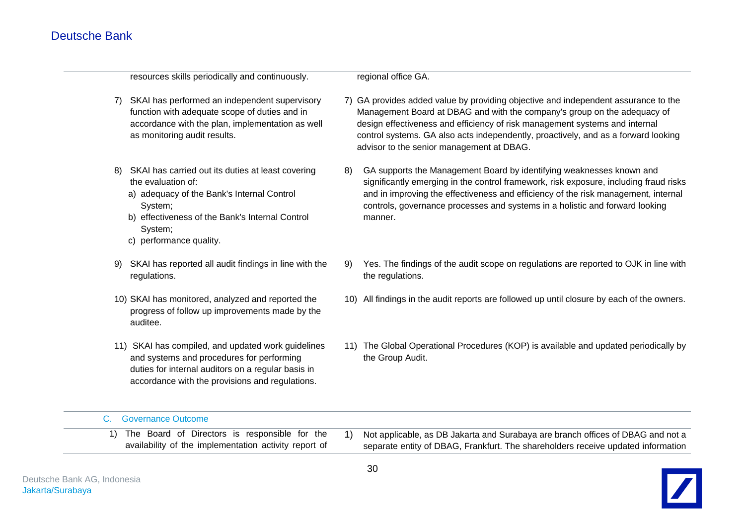resources skills periodically and continuously.

regional office GA.

- 7) SKAI has performed an independent supervisory function with adequate scope of duties and in accordance with the plan, implementation as well as monitoring audit results.
- 8) SKAI has carried out its duties at least covering the evaluation of:
	- a) adequacy of the Bank's Internal Control System;
	- b) effectiveness of the Bank's Internal Control System;
	- c) performance quality.
- 9) SKAI has reported all audit findings in line with the regulations.
- 10) SKAI has monitored, analyzed and reported the progress of follow up improvements made by the auditee.
- 11) SKAI has compiled, and updated work guidelines and systems and procedures for performing duties for internal auditors on a regular basis in accordance with the provisions and regulations.
- 7) GA provides added value by providing objective and independent assurance to the Management Board at DBAG and with the company's group on the adequacy of design effectiveness and efficiency of risk management systems and internal control systems. GA also acts independently, proactively, and as a forward looking advisor to the senior management at DBAG.
- 8) GA supports the Management Board by identifying weaknesses known and significantly emerging in the control framework, risk exposure, including fraud risks and in improving the effectiveness and efficiency of the risk management, internal controls, governance processes and systems in a holistic and forward looking manner.
- 9) Yes. The findings of the audit scope on regulations are reported to OJK in line with the regulations.
- 10) All findings in the audit reports are followed up until closure by each of the owners.
- 11) The Global Operational Procedures (KOP) is available and updated periodically by the Group Audit.

#### C. Governance Outcome

- 1) The Board of Directors is responsible for the availability of the implementation activity report of
- 1) Not applicable, as DB Jakarta and Surabaya are branch offices of DBAG and not a separate entity of DBAG, Frankfurt. The shareholders receive updated information

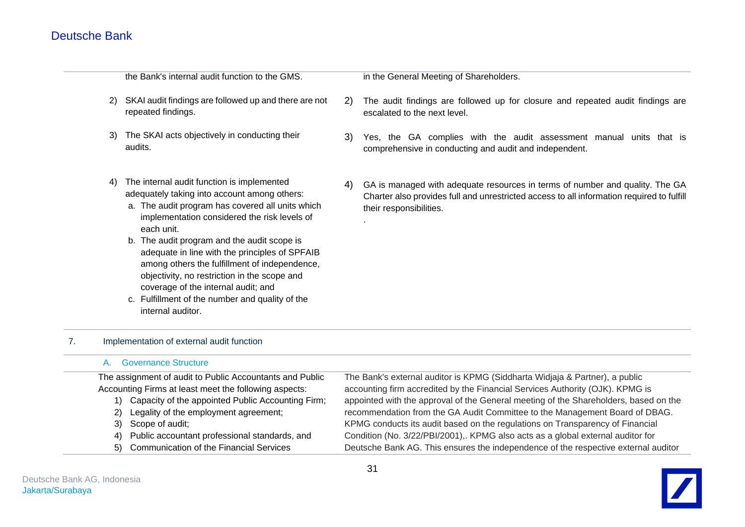|    |               | the Bank's internal audit function to the GMS.                                                                                                                                                                                                                                                                                                                                                                                                                                                                                |    | in the General Meeting of Shareholders.                                                                                                                                                              |
|----|---------------|-------------------------------------------------------------------------------------------------------------------------------------------------------------------------------------------------------------------------------------------------------------------------------------------------------------------------------------------------------------------------------------------------------------------------------------------------------------------------------------------------------------------------------|----|------------------------------------------------------------------------------------------------------------------------------------------------------------------------------------------------------|
|    | <sup>2)</sup> | SKAI audit findings are followed up and there are not<br>repeated findings.                                                                                                                                                                                                                                                                                                                                                                                                                                                   | 2) | The audit findings are followed up for closure and repeated audit findings are<br>escalated to the next level.                                                                                       |
|    | 3)            | The SKAI acts objectively in conducting their<br>audits.                                                                                                                                                                                                                                                                                                                                                                                                                                                                      | 3) | Yes, the GA complies with the audit assessment manual units that is<br>comprehensive in conducting and audit and independent.                                                                        |
|    | 4)            | The internal audit function is implemented<br>adequately taking into account among others:<br>a. The audit program has covered all units which<br>implementation considered the risk levels of<br>each unit.<br>b. The audit program and the audit scope is<br>adequate in line with the principles of SPFAIB<br>among others the fulfillment of independence,<br>objectivity, no restriction in the scope and<br>coverage of the internal audit; and<br>c. Fulfillment of the number and quality of the<br>internal auditor. | 4) | GA is managed with adequate resources in terms of number and quality. The GA<br>Charter also provides full and unrestricted access to all information required to fulfill<br>their responsibilities. |
| 7. |               | Implementation of external audit function                                                                                                                                                                                                                                                                                                                                                                                                                                                                                     |    |                                                                                                                                                                                                      |

|    | <b>Governance Structure</b>                              |                                                                                      |
|----|----------------------------------------------------------|--------------------------------------------------------------------------------------|
|    | The assignment of audit to Public Accountants and Public | The Bank's external auditor is KPMG (Siddharta Widjaja & Partner), a public          |
|    | Accounting Firms at least meet the following aspects:    | accounting firm accredited by the Financial Services Authority (OJK). KPMG is        |
|    | Capacity of the appointed Public Accounting Firm;        | appointed with the approval of the General meeting of the Shareholders, based on the |
| 2) | Legality of the employment agreement;                    | recommendation from the GA Audit Committee to the Management Board of DBAG.          |
|    | 3) Scope of audit;                                       | KPMG conducts its audit based on the regulations on Transparency of Financial        |
| 4) | Public accountant professional standards, and            | Condition (No. 3/22/PBI/2001),. KPMG also acts as a global external auditor for      |
|    | 5) Communication of the Financial Services               | Deutsche Bank AG. This ensures the independence of the respective external auditor   |

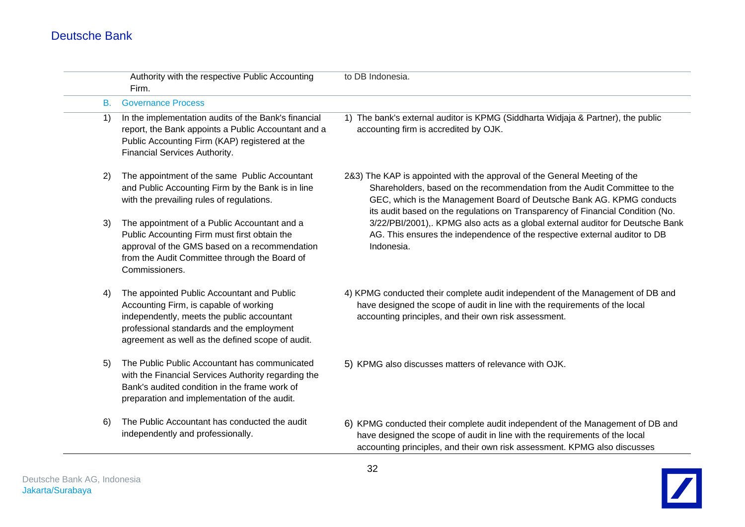|                                                | Authority with the respective Public Accounting<br>Firm.                                                                                                                                                                            | to DB Indonesia.                                                                                                                                                                                                                                                                                                  |
|------------------------------------------------|-------------------------------------------------------------------------------------------------------------------------------------------------------------------------------------------------------------------------------------|-------------------------------------------------------------------------------------------------------------------------------------------------------------------------------------------------------------------------------------------------------------------------------------------------------------------|
| <b>B.</b>                                      | <b>Governance Process</b>                                                                                                                                                                                                           |                                                                                                                                                                                                                                                                                                                   |
| $\left( \begin{matrix} 1 \end{matrix} \right)$ | In the implementation audits of the Bank's financial<br>report, the Bank appoints a Public Accountant and a<br>Public Accounting Firm (KAP) registered at the<br>Financial Services Authority.                                      | 1) The bank's external auditor is KPMG (Siddharta Widjaja & Partner), the public<br>accounting firm is accredited by OJK.                                                                                                                                                                                         |
| 2)                                             | The appointment of the same Public Accountant<br>and Public Accounting Firm by the Bank is in line<br>with the prevailing rules of regulations.                                                                                     | 2&3) The KAP is appointed with the approval of the General Meeting of the<br>Shareholders, based on the recommendation from the Audit Committee to the<br>GEC, which is the Management Board of Deutsche Bank AG. KPMG conducts<br>its audit based on the regulations on Transparency of Financial Condition (No. |
| 3)                                             | The appointment of a Public Accountant and a<br>Public Accounting Firm must first obtain the<br>approval of the GMS based on a recommendation<br>from the Audit Committee through the Board of<br>Commissioners.                    | 3/22/PBI/2001),. KPMG also acts as a global external auditor for Deutsche Bank<br>AG. This ensures the independence of the respective external auditor to DB<br>Indonesia.                                                                                                                                        |
| 4)                                             | The appointed Public Accountant and Public<br>Accounting Firm, is capable of working<br>independently, meets the public accountant<br>professional standards and the employment<br>agreement as well as the defined scope of audit. | 4) KPMG conducted their complete audit independent of the Management of DB and<br>have designed the scope of audit in line with the requirements of the local<br>accounting principles, and their own risk assessment.                                                                                            |
| 5)                                             | The Public Public Accountant has communicated<br>with the Financial Services Authority regarding the<br>Bank's audited condition in the frame work of<br>preparation and implementation of the audit.                               | 5) KPMG also discusses matters of relevance with OJK.                                                                                                                                                                                                                                                             |
| 6)                                             | The Public Accountant has conducted the audit<br>independently and professionally.                                                                                                                                                  | 6) KPMG conducted their complete audit independent of the Management of DB and<br>have designed the scope of audit in line with the requirements of the local<br>accounting principles, and their own risk assessment. KPMG also discusses                                                                        |

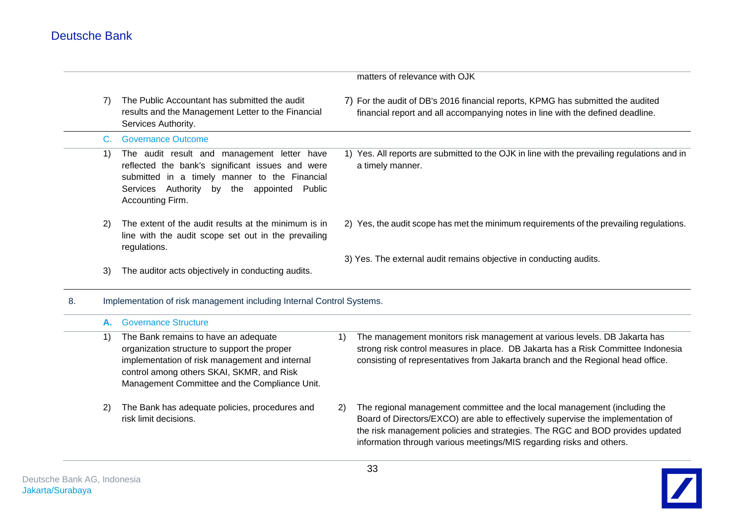|    |                |                                                                                                                                                                                                                                      |    | matters of relevance with OJK                                                                                                                                                                                                                                                                                          |
|----|----------------|--------------------------------------------------------------------------------------------------------------------------------------------------------------------------------------------------------------------------------------|----|------------------------------------------------------------------------------------------------------------------------------------------------------------------------------------------------------------------------------------------------------------------------------------------------------------------------|
|    | 7)             | The Public Accountant has submitted the audit<br>results and the Management Letter to the Financial<br>Services Authority.                                                                                                           |    | 7) For the audit of DB's 2016 financial reports, KPMG has submitted the audited<br>financial report and all accompanying notes in line with the defined deadline.                                                                                                                                                      |
|    | $\mathbf{C}$ . | <b>Governance Outcome</b>                                                                                                                                                                                                            |    |                                                                                                                                                                                                                                                                                                                        |
|    | 1)             | The audit result and management letter have<br>reflected the bank's significant issues and were<br>submitted in a timely manner to the Financial<br>Services Authority<br>Public<br>by the appointed<br>Accounting Firm.             |    | 1) Yes. All reports are submitted to the OJK in line with the prevailing regulations and in<br>a timely manner.                                                                                                                                                                                                        |
|    | 2)             | The extent of the audit results at the minimum is in<br>line with the audit scope set out in the prevailing<br>regulations.                                                                                                          |    | 2) Yes, the audit scope has met the minimum requirements of the prevailing regulations.                                                                                                                                                                                                                                |
|    | 3)             | The auditor acts objectively in conducting audits.                                                                                                                                                                                   |    | 3) Yes. The external audit remains objective in conducting audits.                                                                                                                                                                                                                                                     |
| 8. |                | Implementation of risk management including Internal Control Systems.                                                                                                                                                                |    |                                                                                                                                                                                                                                                                                                                        |
|    | А.             | <b>Governance Structure</b>                                                                                                                                                                                                          |    |                                                                                                                                                                                                                                                                                                                        |
|    | 1)             | The Bank remains to have an adequate<br>organization structure to support the proper<br>implementation of risk management and internal<br>control among others SKAI, SKMR, and Risk<br>Management Committee and the Compliance Unit. | 1) | The management monitors risk management at various levels. DB Jakarta has<br>strong risk control measures in place. DB Jakarta has a Risk Committee Indonesia<br>consisting of representatives from Jakarta branch and the Regional head office.                                                                       |
|    | 2)             | The Bank has adequate policies, procedures and<br>risk limit decisions.                                                                                                                                                              | 2) | The regional management committee and the local management (including the<br>Board of Directors/EXCO) are able to effectively supervise the implementation of<br>the risk management policies and strategies. The RGC and BOD provides updated<br>information through various meetings/MIS regarding risks and others. |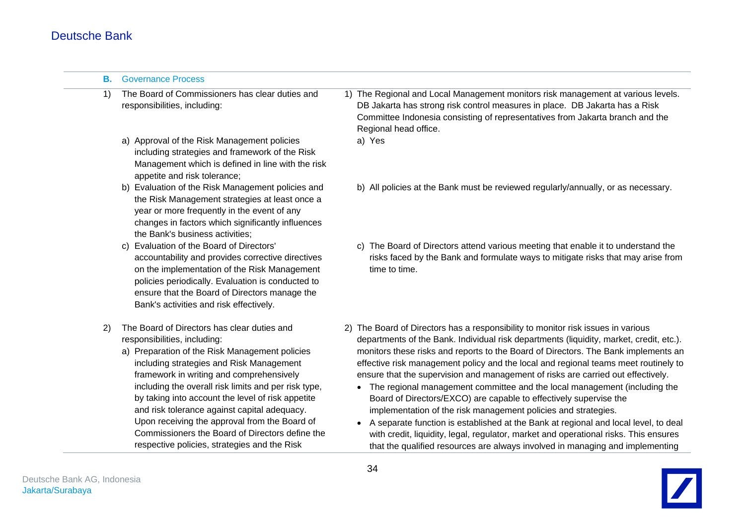| В. | <b>Governance Process</b>                                                                                                                                                                                                                                                                                                                                                                                                                                                                                                              |                                                                                                                                                                                                                                                                                                                                                                                                                                                                                                                                                                                                                                                                                                                                                                                                                                                                                                                                                 |
|----|----------------------------------------------------------------------------------------------------------------------------------------------------------------------------------------------------------------------------------------------------------------------------------------------------------------------------------------------------------------------------------------------------------------------------------------------------------------------------------------------------------------------------------------|-------------------------------------------------------------------------------------------------------------------------------------------------------------------------------------------------------------------------------------------------------------------------------------------------------------------------------------------------------------------------------------------------------------------------------------------------------------------------------------------------------------------------------------------------------------------------------------------------------------------------------------------------------------------------------------------------------------------------------------------------------------------------------------------------------------------------------------------------------------------------------------------------------------------------------------------------|
| 1) | The Board of Commissioners has clear duties and<br>responsibilities, including:                                                                                                                                                                                                                                                                                                                                                                                                                                                        | 1) The Regional and Local Management monitors risk management at various levels.<br>DB Jakarta has strong risk control measures in place. DB Jakarta has a Risk<br>Committee Indonesia consisting of representatives from Jakarta branch and the<br>Regional head office.                                                                                                                                                                                                                                                                                                                                                                                                                                                                                                                                                                                                                                                                       |
|    | a) Approval of the Risk Management policies<br>including strategies and framework of the Risk<br>Management which is defined in line with the risk<br>appetite and risk tolerance;                                                                                                                                                                                                                                                                                                                                                     | a) Yes                                                                                                                                                                                                                                                                                                                                                                                                                                                                                                                                                                                                                                                                                                                                                                                                                                                                                                                                          |
|    | b) Evaluation of the Risk Management policies and<br>the Risk Management strategies at least once a<br>year or more frequently in the event of any<br>changes in factors which significantly influences<br>the Bank's business activities;                                                                                                                                                                                                                                                                                             | b) All policies at the Bank must be reviewed regularly/annually, or as necessary.                                                                                                                                                                                                                                                                                                                                                                                                                                                                                                                                                                                                                                                                                                                                                                                                                                                               |
|    | c) Evaluation of the Board of Directors'<br>accountability and provides corrective directives<br>on the implementation of the Risk Management<br>policies periodically. Evaluation is conducted to<br>ensure that the Board of Directors manage the<br>Bank's activities and risk effectively.                                                                                                                                                                                                                                         | c) The Board of Directors attend various meeting that enable it to understand the<br>risks faced by the Bank and formulate ways to mitigate risks that may arise from<br>time to time.                                                                                                                                                                                                                                                                                                                                                                                                                                                                                                                                                                                                                                                                                                                                                          |
| 2) | The Board of Directors has clear duties and<br>responsibilities, including:<br>a) Preparation of the Risk Management policies<br>including strategies and Risk Management<br>framework in writing and comprehensively<br>including the overall risk limits and per risk type,<br>by taking into account the level of risk appetite<br>and risk tolerance against capital adequacy.<br>Upon receiving the approval from the Board of<br>Commissioners the Board of Directors define the<br>respective policies, strategies and the Risk | 2) The Board of Directors has a responsibility to monitor risk issues in various<br>departments of the Bank. Individual risk departments (liquidity, market, credit, etc.).<br>monitors these risks and reports to the Board of Directors. The Bank implements an<br>effective risk management policy and the local and regional teams meet routinely to<br>ensure that the supervision and management of risks are carried out effectively.<br>• The regional management committee and the local management (including the<br>Board of Directors/EXCO) are capable to effectively supervise the<br>implementation of the risk management policies and strategies.<br>A separate function is established at the Bank at regional and local level, to deal<br>$\bullet$<br>with credit, liquidity, legal, regulator, market and operational risks. This ensures<br>that the qualified resources are always involved in managing and implementing |

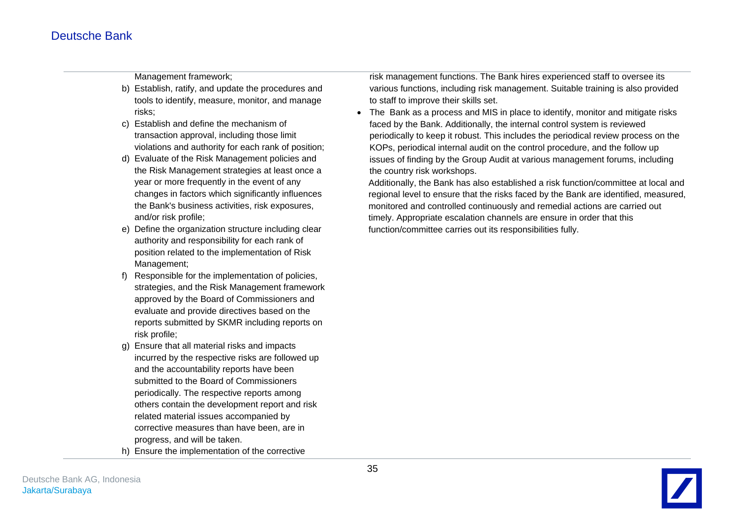Management framework;

- b) Establish, ratify, and update the procedures and tools to identify, measure, monitor, and manage risks;
- c) Establish and define the mechanism of transaction approval, including those limit violations and authority for each rank of position;
- d) Evaluate of the Risk Management policies and the Risk Management strategies at least once a year or more frequently in the event of any changes in factors which significantly influences the Bank's business activities, risk exposures, and/or risk profile;
- e) Define the organization structure including clear authority and responsibility for each rank of position related to the implementation of Risk Management;
- f) Responsible for the implementation of policies, strategies, and the Risk Management framework approved by the Board of Commissioners and evaluate and provide directives based on the reports submitted by SKMR including reports on risk profile;
- g) Ensure that all material risks and impacts incurred by the respective risks are followed up and the accountability reports have been submitted to the Board of Commissioners periodically. The respective reports among others contain the development report and risk related material issues accompanied by corrective measures than have been, are in progress, and will be taken.
- h) Ensure the implementation of the corrective

risk management functions. The Bank hires experienced staff to oversee its various functions, including risk management. Suitable training is also provided to staff to improve their skills set.

 The Bank as a process and MIS in place to identify, monitor and mitigate risks faced by the Bank. Additionally, the internal control system is reviewed periodically to keep it robust. This includes the periodical review process on the KOPs, periodical internal audit on the control procedure, and the follow up issues of finding by the Group Audit at various management forums, including the country risk workshops.

Additionally, the Bank has also established a risk function/committee at local and regional level to ensure that the risks faced by the Bank are identified, measured, monitored and controlled continuously and remedial actions are carried out timely. Appropriate escalation channels are ensure in order that this function/committee carries out its responsibilities fully.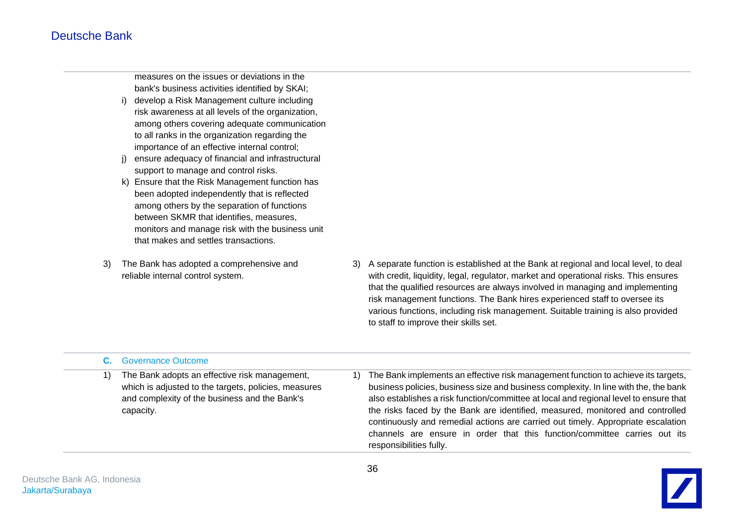measures on the issues or deviations in the bank's business activities identified by SKAI;

- i) develop a Risk Management culture including risk awareness at all levels of the organization, among others covering adequate communication to all ranks in the organization regarding the importance of an effective internal control;
- j) ensure adequacy of financial and infrastructural support to manage and control risks.
- k) Ensure that the Risk Management function has been adopted independently that is reflected among others by the separation of functions between SKMR that identifies, measures, monitors and manage risk with the business unit that makes and settles transactions.
- 3) The Bank has adopted a comprehensive and reliable internal control system.
- 3) A separate function is established at the Bank at regional and local level, to deal with credit, liquidity, legal, regulator, market and operational risks. This ensures that the qualified resources are always involved in managing and implementing risk management functions. The Bank hires experienced staff to oversee its various functions, including risk management. Suitable training is also provided to staff to improve their skills set.

| <b>C.</b> Governance Outcome                                                                                                                                        |                                                                                                                                                                                                                                                                                                                                                                                                                                                                                                                                                  |
|---------------------------------------------------------------------------------------------------------------------------------------------------------------------|--------------------------------------------------------------------------------------------------------------------------------------------------------------------------------------------------------------------------------------------------------------------------------------------------------------------------------------------------------------------------------------------------------------------------------------------------------------------------------------------------------------------------------------------------|
| The Bank adopts an effective risk management,<br>which is adjusted to the targets, policies, measures<br>and complexity of the business and the Bank's<br>capacity. | The Bank implements an effective risk management function to achieve its targets,<br>business policies, business size and business complexity. In line with the, the bank<br>also establishes a risk function/committee at local and regional level to ensure that<br>the risks faced by the Bank are identified, measured, monitored and controlled<br>continuously and remedial actions are carried out timely. Appropriate escalation<br>channels are ensure in order that this function/committee carries out its<br>responsibilities fully. |

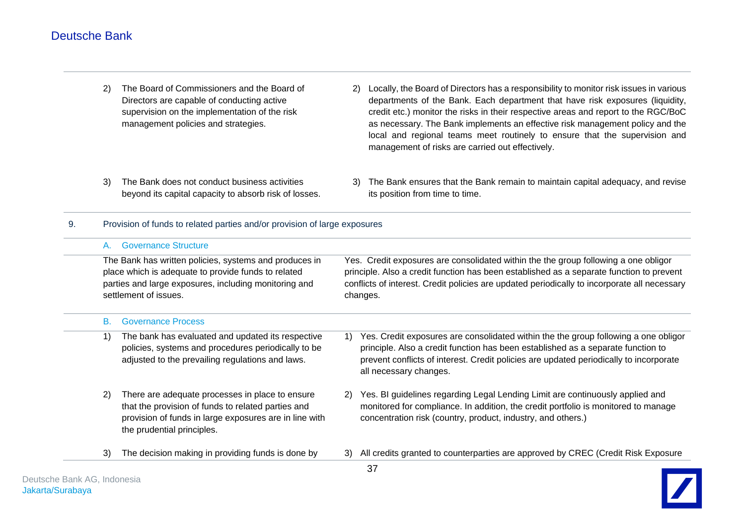- 2) The Board of Commissioners and the Board of Directors are capable of conducting active supervision on the implementation of the risk management policies and strategies. 2) Locally, the Board of Directors has a responsibility to monitor risk issues in various departments of the Bank. Each department that have risk exposures (liquidity, credit etc.) monitor the risks in their respective areas and report to the RGC/BoC as necessary. The Bank implements an effective risk management policy and the local and regional teams meet routinely to ensure that the supervision and management of risks are carried out effectively.
- 3) The Bank does not conduct business activities beyond its capital capacity to absorb risk of losses.
- 3) The Bank ensures that the Bank remain to maintain capital adequacy, and revise its position from time to time.
- 9. Provision of funds to related parties and/or provision of large exposures

|                                                                                                                                                                                               |                                                                                                                                                                                                                                      | Yes. Credit exposures are consolidated within the the group following a one obligor<br>principle. Also a credit function has been established as a separate function to prevent<br>conflicts of interest. Credit policies are updated periodically to incorporate all necessary<br>changes. |
|-----------------------------------------------------------------------------------------------------------------------------------------------------------------------------------------------|--------------------------------------------------------------------------------------------------------------------------------------------------------------------------------------------------------------------------------------|---------------------------------------------------------------------------------------------------------------------------------------------------------------------------------------------------------------------------------------------------------------------------------------------|
| <b>Governance Process</b>                                                                                                                                                                     |                                                                                                                                                                                                                                      |                                                                                                                                                                                                                                                                                             |
| The bank has evaluated and updated its respective<br>policies, systems and procedures periodically to be<br>adjusted to the prevailing regulations and laws.                                  | 1)                                                                                                                                                                                                                                   | Yes. Credit exposures are consolidated within the the group following a one obligor<br>principle. Also a credit function has been established as a separate function to<br>prevent conflicts of interest. Credit policies are updated periodically to incorporate<br>all necessary changes. |
| There are adequate processes in place to ensure<br>that the provision of funds to related parties and<br>provision of funds in large exposures are in line with<br>the prudential principles. | 2)                                                                                                                                                                                                                                   | Yes. BI guidelines regarding Legal Lending Limit are continuously applied and<br>monitored for compliance. In addition, the credit portfolio is monitored to manage<br>concentration risk (country, product, industry, and others.)                                                         |
| The decision making in providing funds is done by                                                                                                                                             | 3)                                                                                                                                                                                                                                   | All credits granted to counterparties are approved by CREC (Credit Risk Exposure                                                                                                                                                                                                            |
| В.<br>2)<br>3)                                                                                                                                                                                | <b>Governance Structure</b><br>A.<br>The Bank has written policies, systems and produces in<br>place which is adequate to provide funds to related<br>parties and large exposures, including monitoring and<br>settlement of issues. |                                                                                                                                                                                                                                                                                             |

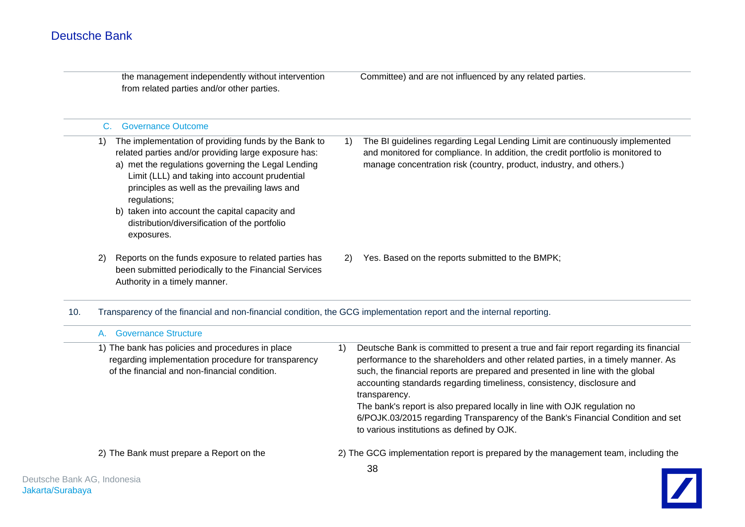|     | the management independently without intervention<br>from related parties and/or other parties.                                                                                                                                                                                                                                                                                                              |    | Committee) and are not influenced by any related parties.                                                                                                                                                                                                                                                                                                                                                                                                                                                                                                            |
|-----|--------------------------------------------------------------------------------------------------------------------------------------------------------------------------------------------------------------------------------------------------------------------------------------------------------------------------------------------------------------------------------------------------------------|----|----------------------------------------------------------------------------------------------------------------------------------------------------------------------------------------------------------------------------------------------------------------------------------------------------------------------------------------------------------------------------------------------------------------------------------------------------------------------------------------------------------------------------------------------------------------------|
|     | <b>Governance Outcome</b><br>C.                                                                                                                                                                                                                                                                                                                                                                              |    |                                                                                                                                                                                                                                                                                                                                                                                                                                                                                                                                                                      |
|     | The implementation of providing funds by the Bank to<br>1)<br>related parties and/or providing large exposure has:<br>a) met the regulations governing the Legal Lending<br>Limit (LLL) and taking into account prudential<br>principles as well as the prevailing laws and<br>regulations;<br>b) taken into account the capital capacity and<br>distribution/diversification of the portfolio<br>exposures. | 1) | The BI guidelines regarding Legal Lending Limit are continuously implemented<br>and monitored for compliance. In addition, the credit portfolio is monitored to<br>manage concentration risk (country, product, industry, and others.)                                                                                                                                                                                                                                                                                                                               |
|     | Reports on the funds exposure to related parties has<br>2)<br>been submitted periodically to the Financial Services<br>Authority in a timely manner.                                                                                                                                                                                                                                                         | 2) | Yes. Based on the reports submitted to the BMPK;                                                                                                                                                                                                                                                                                                                                                                                                                                                                                                                     |
| 10. | Transparency of the financial and non-financial condition, the GCG implementation report and the internal reporting.                                                                                                                                                                                                                                                                                         |    |                                                                                                                                                                                                                                                                                                                                                                                                                                                                                                                                                                      |
|     | <b>Governance Structure</b><br>A.                                                                                                                                                                                                                                                                                                                                                                            |    |                                                                                                                                                                                                                                                                                                                                                                                                                                                                                                                                                                      |
|     | 1) The bank has policies and procedures in place<br>regarding implementation procedure for transparency<br>of the financial and non-financial condition.                                                                                                                                                                                                                                                     | 1) | Deutsche Bank is committed to present a true and fair report regarding its financial<br>performance to the shareholders and other related parties, in a timely manner. As<br>such, the financial reports are prepared and presented in line with the global<br>accounting standards regarding timeliness, consistency, disclosure and<br>transparency.<br>The bank's report is also prepared locally in line with OJK regulation no<br>6/POJK.03/2015 regarding Transparency of the Bank's Financial Condition and set<br>to various institutions as defined by OJK. |
|     | 2) The Bank must prepare a Report on the                                                                                                                                                                                                                                                                                                                                                                     |    | 2) The GCG implementation report is prepared by the management team, including the                                                                                                                                                                                                                                                                                                                                                                                                                                                                                   |

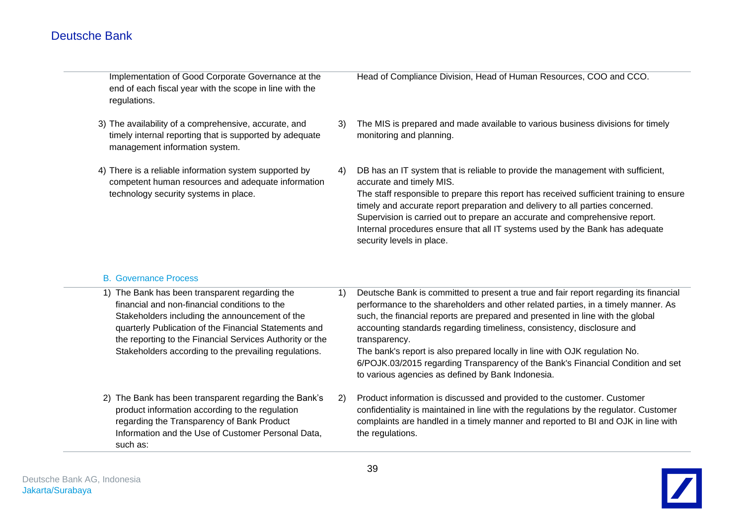| Implementation of Good Corporate Governance at the<br>end of each fiscal year with the scope in line with the<br>regulations.                         |    | Head of Compliance Division, Head of Human Resources, COO and CCO.                                                                                                                                                                                                                                                                                                                                                                                                                  |
|-------------------------------------------------------------------------------------------------------------------------------------------------------|----|-------------------------------------------------------------------------------------------------------------------------------------------------------------------------------------------------------------------------------------------------------------------------------------------------------------------------------------------------------------------------------------------------------------------------------------------------------------------------------------|
| 3) The availability of a comprehensive, accurate, and<br>timely internal reporting that is supported by adequate<br>management information system.    | 3) | The MIS is prepared and made available to various business divisions for timely<br>monitoring and planning.                                                                                                                                                                                                                                                                                                                                                                         |
| 4) There is a reliable information system supported by<br>competent human resources and adequate information<br>technology security systems in place. | 4) | DB has an IT system that is reliable to provide the management with sufficient,<br>accurate and timely MIS.<br>The staff responsible to prepare this report has received sufficient training to ensure<br>timely and accurate report preparation and delivery to all parties concerned.<br>Supervision is carried out to prepare an accurate and comprehensive report.<br>Internal procedures ensure that all IT systems used by the Bank has adequate<br>security levels in place. |

### B. Governance Process

| The Bank has been transparent regarding the<br>financial and non-financial conditions to the<br>Stakeholders including the announcement of the<br>quarterly Publication of the Financial Statements and<br>the reporting to the Financial Services Authority or the<br>Stakeholders according to the prevailing regulations. | 1) | Deutsche Bank is committed to present a true and fair report regarding its financial<br>performance to the shareholders and other related parties, in a timely manner. As<br>such, the financial reports are prepared and presented in line with the global<br>accounting standards regarding timeliness, consistency, disclosure and<br>transparency.<br>The bank's report is also prepared locally in line with OJK regulation No.<br>6/POJK.03/2015 regarding Transparency of the Bank's Financial Condition and set<br>to various agencies as defined by Bank Indonesia. |
|------------------------------------------------------------------------------------------------------------------------------------------------------------------------------------------------------------------------------------------------------------------------------------------------------------------------------|----|------------------------------------------------------------------------------------------------------------------------------------------------------------------------------------------------------------------------------------------------------------------------------------------------------------------------------------------------------------------------------------------------------------------------------------------------------------------------------------------------------------------------------------------------------------------------------|
| The Bank has been transparent regarding the Bank's<br>2)<br>product information according to the regulation<br>regarding the Transparency of Bank Product<br>Information and the Use of Customer Personal Data,<br>such as:                                                                                                  | 2) | Product information is discussed and provided to the customer. Customer<br>confidentiality is maintained in line with the regulations by the regulator. Customer<br>complaints are handled in a timely manner and reported to BI and OJK in line with<br>the regulations.                                                                                                                                                                                                                                                                                                    |
|                                                                                                                                                                                                                                                                                                                              |    |                                                                                                                                                                                                                                                                                                                                                                                                                                                                                                                                                                              |

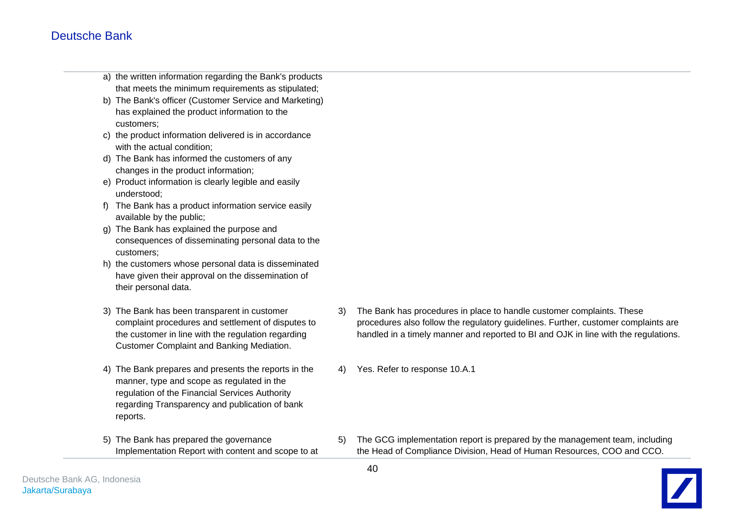- a) the written information regarding the Bank's products that meets the minimum requirements as stipulated;
- b) The Bank's officer (Customer Service and Marketing) has explained the product information to the customers;
- c) the product information delivered is in accordance with the actual condition:
- d) The Bank has informed the customers of any changes in the product information;
- e) Product information is clearly legible and easily understood;
- f) The Bank has a product information service easily available by the public;
- g) The Bank has explained the purpose and consequences of disseminating personal data to the customers;
- h) the customers whose personal data is disseminated have given their approval on the dissemination of their personal data.
- 3) The Bank has been transparent in customer complaint procedures and settlement of disputes to the customer in line with the regulation regarding Customer Complaint and Banking Mediation.
- 4) The Bank prepares and presents the reports in the manner, type and scope as regulated in the regulation of the Financial Services Authority regarding Transparency and publication of bank reports.
- 5) The Bank has prepared the governance Implementation Report with content and scope to at
- 3) The Bank has procedures in place to handle customer complaints. These procedures also follow the regulatory guidelines. Further, customer complaints are handled in a timely manner and reported to BI and OJK in line with the regulations.
- Yes. Refer to response 10.A.1

5) The GCG implementation report is prepared by the management team, including the Head of Compliance Division, Head of Human Resources, COO and CCO.

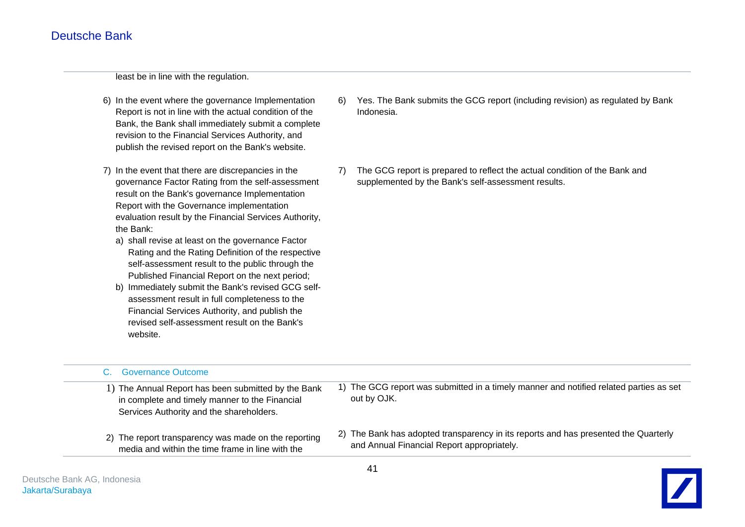least be in line with the regulation.

- 6) In the event where the governance Implementation Report is not in line with the actual condition of the Bank, the Bank shall immediately submit a complete revision to the Financial Services Authority, and publish the revised report on the Bank's website.
- 7) In the event that there are discrepancies in the governance Factor Rating from the self-assessment result on the Bank's governance Implementation Report with the Governance implementation evaluation result by the Financial Services Authority, the Bank:
	- a) shall revise at least on the governance Factor Rating and the Rating Definition of the respective self-assessment result to the public through the Published Financial Report on the next period;
	- b) Immediately submit the Bank's revised GCG selfassessment result in full completeness to the Financial Services Authority, and publish the revised self-assessment result on the Bank's website.
- 6) Yes. The Bank submits the GCG report (including revision) as regulated by Bank Indonesia.
- 7) The GCG report is prepared to reflect the actual condition of the Bank and supplemented by the Bank's self-assessment results.

| <b>Governance Outcome</b><br>C.                                                                                                                   |                                                                                                                                   |
|---------------------------------------------------------------------------------------------------------------------------------------------------|-----------------------------------------------------------------------------------------------------------------------------------|
| 1) The Annual Report has been submitted by the Bank<br>in complete and timely manner to the Financial<br>Services Authority and the shareholders. | 1) The GCG report was submitted in a timely manner and notified related parties as set<br>out by OJK.                             |
| 2) The report transparency was made on the reporting<br>media and within the time frame in line with the                                          | 2) The Bank has adopted transparency in its reports and has presented the Quarterly<br>and Annual Financial Report appropriately. |

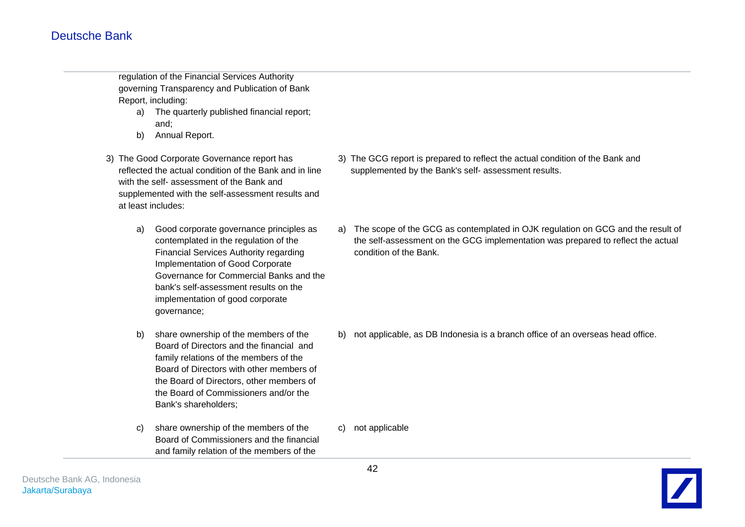regulation of the Financial Services Authority governing Transparency and Publication of Bank Report, including:

- a) The quarterly published financial report; and;
- b) Annual Report.
- 3) The Good Corporate Governance report has reflected the actual condition of the Bank and in line with the self- assessment of the Bank and supplemented with the self-assessment results and at least includes:
	- a) Good corporate governance principles as contemplated in the regulation of the Financial Services Authority regarding Implementation of Good Corporate Governance for Commercial Banks and the bank's self-assessment results on the implementation of good corporate governance;
	- b) share ownership of the members of the Board of Directors and the financial and family relations of the members of the Board of Directors with other members of the Board of Directors, other members of the Board of Commissioners and/or the Bank's shareholders;
	- c) share ownership of the members of the Board of Commissioners and the financial and family relation of the members of the
- 3) The GCG report is prepared to reflect the actual condition of the Bank and supplemented by the Bank's self- assessment results.
- a) The scope of the GCG as contemplated in OJK regulation on GCG and the result of the self-assessment on the GCG implementation was prepared to reflect the actual condition of the Bank.

b) not applicable, as DB Indonesia is a branch office of an overseas head office.

c) not applicable

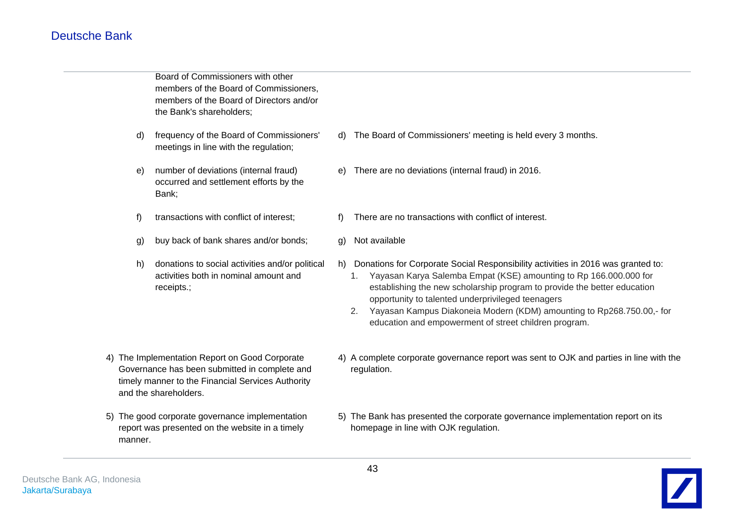Board of Commissioners with other members of the Board of Commissioners, members of the Board of Directors and/or the Bank's shareholders;

- d) frequency of the Board of Commissioners' meetings in line with the regulation;
- e) number of deviations (internal fraud) occurred and settlement efforts by the Bank;
- f) transactions with conflict of interest;
- g) buy back of bank shares and/or bonds;
- h) donations to social activities and/or political activities both in nominal amount and receipts.;

- 4) The Implementation Report on Good Corporate Governance has been submitted in complete and timely manner to the Financial Services Authority and the shareholders.
- 5) The good corporate governance implementation report was presented on the website in a timely manner.
- d) The Board of Commissioners' meeting is held every 3 months.
- e) There are no deviations (internal fraud) in 2016.
- f) There are no transactions with conflict of interest.
- g) Not available
- h) Donations for Corporate Social Responsibility activities in 2016 was granted to:
	- 1. Yayasan Karya Salemba Empat (KSE) amounting to Rp 166.000.000 for establishing the new scholarship program to provide the better education opportunity to talented underprivileged teenagers
	- 2. Yayasan Kampus Diakoneia Modern (KDM) amounting to Rp268.750.00,- for education and empowerment of street children program.
- 4) A complete corporate governance report was sent to OJK and parties in line with the regulation.
- 5) The Bank has presented the corporate governance implementation report on its homepage in line with OJK regulation.

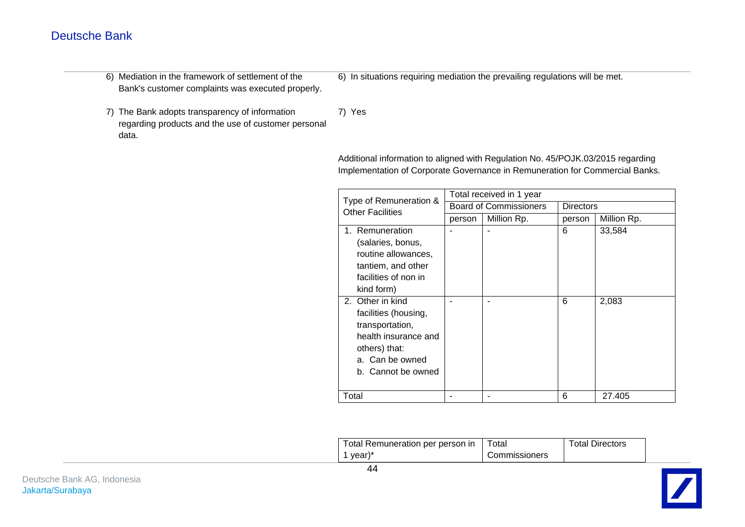- 6) Mediation in the framework of settlement of the Bank's customer complaints was executed properly.
- 6) In situations requiring mediation the prevailing regulations will be met.

7) The Bank adopts transparency of information regarding products and the use of customer personal data.

7) Yes

Additional information to aligned with Regulation No. 45/POJK.03/2015 regarding Implementation of Corporate Governance in Remuneration for Commercial Banks.

| Type of Remuneration &                                                                                                                        |        | Total received in 1 year      |                  |             |
|-----------------------------------------------------------------------------------------------------------------------------------------------|--------|-------------------------------|------------------|-------------|
| <b>Other Facilities</b>                                                                                                                       |        | <b>Board of Commissioners</b> | <b>Directors</b> |             |
|                                                                                                                                               | person | Million Rp.                   | person           | Million Rp. |
| 1. Remuneration<br>(salaries, bonus,<br>routine allowances,<br>tantiem, and other<br>facilities of non in<br>kind form)                       |        |                               | 6                | 33,584      |
| 2. Other in kind<br>facilities (housing,<br>transportation,<br>health insurance and<br>others) that:<br>a. Can be owned<br>b. Cannot be owned |        |                               | 6                | 2,083       |
| Total                                                                                                                                         |        |                               | 6                | 27.405      |

| Total Remuneration per person in   Total |               | <b>Total Directors</b> |
|------------------------------------------|---------------|------------------------|
| 1 year) $*$                              | Commissioners |                        |

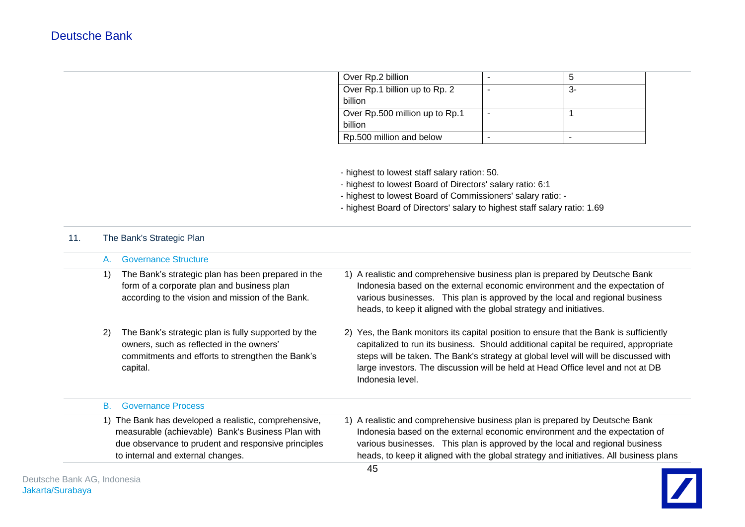| Over Rp.2 billion              | 5  |
|--------------------------------|----|
| Over Rp.1 billion up to Rp. 2  | 3- |
| billion                        |    |
| Over Rp.500 million up to Rp.1 |    |
| billion                        |    |
| Rp.500 million and below       |    |

- highest to lowest staff salary ration: 50.

- highest to lowest Board of Directors' salary ratio: 6:1

- highest to lowest Board of Commissioners' salary ratio: -

- highest Board of Directors' salary to highest staff salary ratio: 1.69

### 11. The Bank's Strategic Plan

| $A_{-}$ | <b>Governance Structure</b>                                                                                                                                                                            |                                                                                                                                                                                                                                                                                                                                                                              |
|---------|--------------------------------------------------------------------------------------------------------------------------------------------------------------------------------------------------------|------------------------------------------------------------------------------------------------------------------------------------------------------------------------------------------------------------------------------------------------------------------------------------------------------------------------------------------------------------------------------|
| 1)      | The Bank's strategic plan has been prepared in the<br>form of a corporate plan and business plan<br>according to the vision and mission of the Bank.                                                   | 1) A realistic and comprehensive business plan is prepared by Deutsche Bank<br>Indonesia based on the external economic environment and the expectation of<br>various businesses. This plan is approved by the local and regional business<br>heads, to keep it aligned with the global strategy and initiatives.                                                            |
| 2)      | The Bank's strategic plan is fully supported by the<br>owners, such as reflected in the owners'<br>commitments and efforts to strengthen the Bank's<br>capital.                                        | 2) Yes, the Bank monitors its capital position to ensure that the Bank is sufficiently<br>capitalized to run its business. Should additional capital be required, appropriate<br>steps will be taken. The Bank's strategy at global level will will be discussed with<br>large investors. The discussion will be held at Head Office level and not at DB<br>Indonesia level. |
| B.      | <b>Governance Process</b>                                                                                                                                                                              |                                                                                                                                                                                                                                                                                                                                                                              |
|         | 1) The Bank has developed a realistic, comprehensive,<br>measurable (achievable) Bank's Business Plan with<br>due observance to prudent and responsive principles<br>to internal and external changes. | 1) A realistic and comprehensive business plan is prepared by Deutsche Bank<br>Indonesia based on the external economic environment and the expectation of<br>various businesses. This plan is approved by the local and regional business<br>heads, to keep it aligned with the global strategy and initiatives. All business plans                                         |

 $\overline{\phantom{0}}$ 

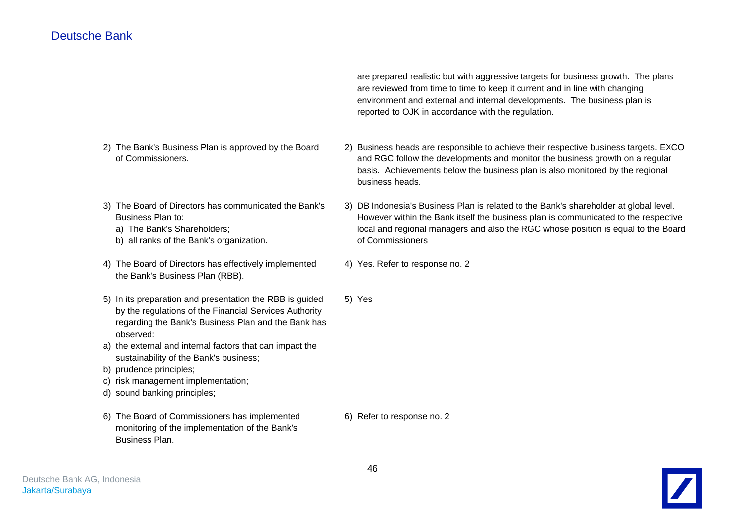are prepared realistic but with aggressive targets for business growth. The plans are reviewed from time to time to keep it current and in line with changing environment and external and internal developments. The business plan is reported to OJK in accordance with the regulation.

- 2) The Bank's Business Plan is approved by the Board of Commissioners. 2) Business heads are responsible to achieve their respective business targets. EXCO and RGC follow the developments and monitor the business growth on a regular basis. Achievements below the business plan is also monitored by the regional business heads.
- 3) The Board of Directors has communicated the Bank's Business Plan to:
	- a) The Bank's Shareholders;
	- b) all ranks of the Bank's organization.
- 4) The Board of Directors has effectively implemented the Bank's Business Plan (RBB).
- 5) In its preparation and presentation the RBB is guided by the regulations of the Financial Services Authority regarding the Bank's Business Plan and the Bank has observed: 5) Yes
- a) the external and internal factors that can impact the sustainability of the Bank's business;
- b) prudence principles;
- c) risk management implementation;
- d) sound banking principles;
- 6) The Board of Commissioners has implemented monitoring of the implementation of the Bank's Business Plan.
- 3) DB Indonesia's Business Plan is related to the Bank's shareholder at global level. However within the Bank itself the business plan is communicated to the respective local and regional managers and also the RGC whose position is equal to the Board
- 4) Yes. Refer to response no. 2

of Commissioners

6) Refer to response no. 2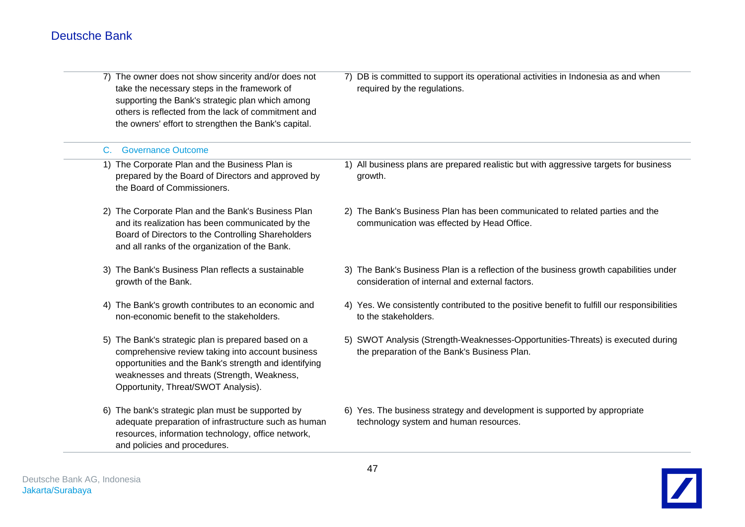J. 

|    | 7) The owner does not show sincerity and/or does not<br>take the necessary steps in the framework of<br>supporting the Bank's strategic plan which among<br>others is reflected from the lack of commitment and<br>the owners' effort to strengthen the Bank's capital. | 7) DB is committed to support its operational activities in Indonesia as and when<br>required by the regulations.                        |
|----|-------------------------------------------------------------------------------------------------------------------------------------------------------------------------------------------------------------------------------------------------------------------------|------------------------------------------------------------------------------------------------------------------------------------------|
| C. | <b>Governance Outcome</b>                                                                                                                                                                                                                                               |                                                                                                                                          |
|    | 1) The Corporate Plan and the Business Plan is<br>prepared by the Board of Directors and approved by<br>the Board of Commissioners.                                                                                                                                     | 1) All business plans are prepared realistic but with aggressive targets for business<br>growth.                                         |
|    | 2) The Corporate Plan and the Bank's Business Plan<br>and its realization has been communicated by the<br>Board of Directors to the Controlling Shareholders<br>and all ranks of the organization of the Bank.                                                          | 2) The Bank's Business Plan has been communicated to related parties and the<br>communication was effected by Head Office.               |
|    | 3) The Bank's Business Plan reflects a sustainable<br>growth of the Bank.                                                                                                                                                                                               | 3) The Bank's Business Plan is a reflection of the business growth capabilities under<br>consideration of internal and external factors. |
|    | 4) The Bank's growth contributes to an economic and<br>non-economic benefit to the stakeholders.                                                                                                                                                                        | 4) Yes. We consistently contributed to the positive benefit to fulfill our responsibilities<br>to the stakeholders.                      |
|    | 5) The Bank's strategic plan is prepared based on a<br>comprehensive review taking into account business<br>opportunities and the Bank's strength and identifying<br>weaknesses and threats (Strength, Weakness,<br>Opportunity, Threat/SWOT Analysis).                 | 5) SWOT Analysis (Strength-Weaknesses-Opportunities-Threats) is executed during<br>the preparation of the Bank's Business Plan.          |
|    | 6) The bank's strategic plan must be supported by<br>adequate preparation of infrastructure such as human<br>resources, information technology, office network,<br>and policies and procedures.                                                                         | 6) Yes. The business strategy and development is supported by appropriate<br>technology system and human resources.                      |

 $\sim$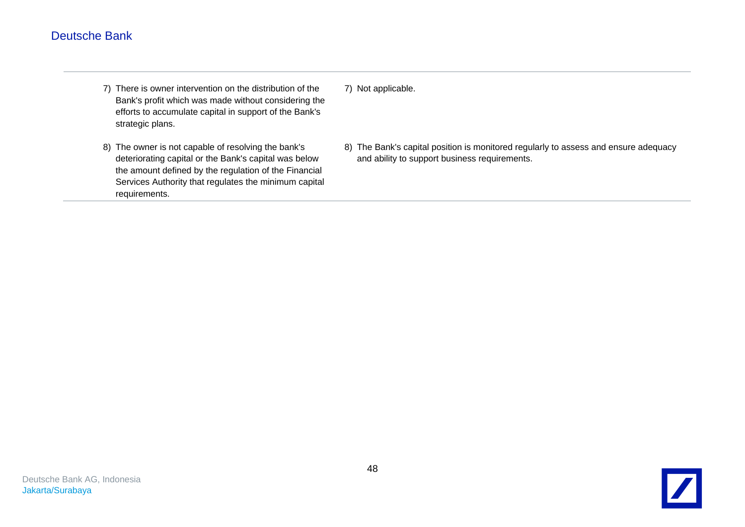- 7) There is owner intervention on the distribution of the Bank's profit which was made without considering the efforts to accumulate capital in support of the Bank's strategic plans.
- 8) The owner is not capable of resolving the bank's deteriorating capital or the Bank's capital was below the amount defined by the regulation of the Financial Services Authority that regulates the minimum capital requirements.
- 7) Not applicable.
- 8) The Bank's capital position is monitored regularly to assess and ensure adequacy and ability to support business requirements.